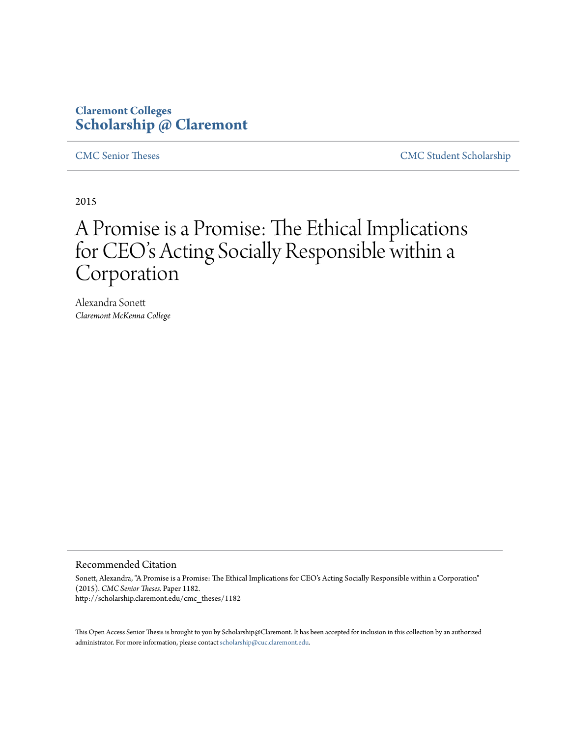# **Claremont Colleges [Scholarship @ Claremont](http://scholarship.claremont.edu)**

[CMC Senior Theses](http://scholarship.claremont.edu/cmc_theses) [CMC Student Scholarship](http://scholarship.claremont.edu/cmc_student)

2015

# A Promise is a Promise: The Ethical Implications for CEO's Acting Socially Responsible within a Corporation

Alexandra Sonett *Claremont McKenna College*

#### Recommended Citation

Sonett, Alexandra, "A Promise is a Promise: The Ethical Implications for CEO's Acting Socially Responsible within a Corporation" (2015). *CMC Senior Theses.* Paper 1182. http://scholarship.claremont.edu/cmc\_theses/1182

This Open Access Senior Thesis is brought to you by Scholarship@Claremont. It has been accepted for inclusion in this collection by an authorized administrator. For more information, please contact [scholarship@cuc.claremont.edu.](mailto:scholarship@cuc.claremont.edu)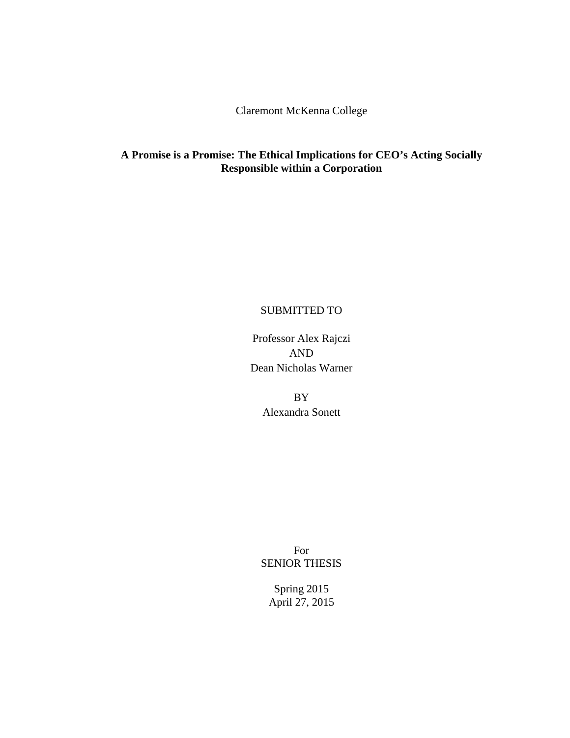Claremont McKenna College

# **A Promise is a Promise: The Ethical Implications for CEO's Acting Socially Responsible within a Corporation**

# SUBMITTED TO

Professor Alex Rajczi AND Dean Nicholas Warner

> BY Alexandra Sonett

For SENIOR THESIS

Spring 2015 April 27, 2015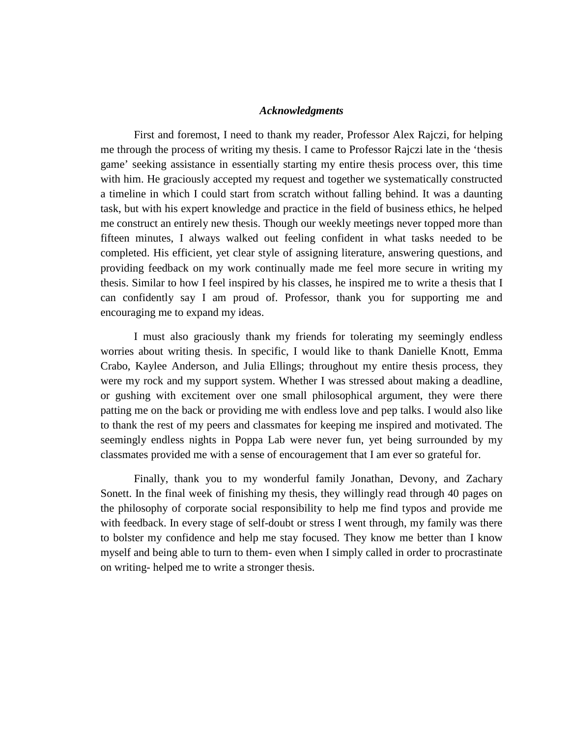#### *Acknowledgments*

First and foremost, I need to thank my reader, Professor Alex Rajczi, for helping me through the process of writing my thesis. I came to Professor Rajczi late in the 'thesis game' seeking assistance in essentially starting my entire thesis process over, this time with him. He graciously accepted my request and together we systematically constructed a timeline in which I could start from scratch without falling behind. It was a daunting task, but with his expert knowledge and practice in the field of business ethics, he helped me construct an entirely new thesis. Though our weekly meetings never topped more than fifteen minutes, I always walked out feeling confident in what tasks needed to be completed. His efficient, yet clear style of assigning literature, answering questions, and providing feedback on my work continually made me feel more secure in writing my thesis. Similar to how I feel inspired by his classes, he inspired me to write a thesis that I can confidently say I am proud of. Professor, thank you for supporting me and encouraging me to expand my ideas.

I must also graciously thank my friends for tolerating my seemingly endless worries about writing thesis. In specific, I would like to thank Danielle Knott, Emma Crabo, Kaylee Anderson, and Julia Ellings; throughout my entire thesis process, they were my rock and my support system. Whether I was stressed about making a deadline, or gushing with excitement over one small philosophical argument, they were there patting me on the back or providing me with endless love and pep talks. I would also like to thank the rest of my peers and classmates for keeping me inspired and motivated. The seemingly endless nights in Poppa Lab were never fun, yet being surrounded by my classmates provided me with a sense of encouragement that I am ever so grateful for.

Finally, thank you to my wonderful family Jonathan, Devony, and Zachary Sonett. In the final week of finishing my thesis, they willingly read through 40 pages on the philosophy of corporate social responsibility to help me find typos and provide me with feedback. In every stage of self-doubt or stress I went through, my family was there to bolster my confidence and help me stay focused. They know me better than I know myself and being able to turn to them- even when I simply called in order to procrastinate on writing- helped me to write a stronger thesis.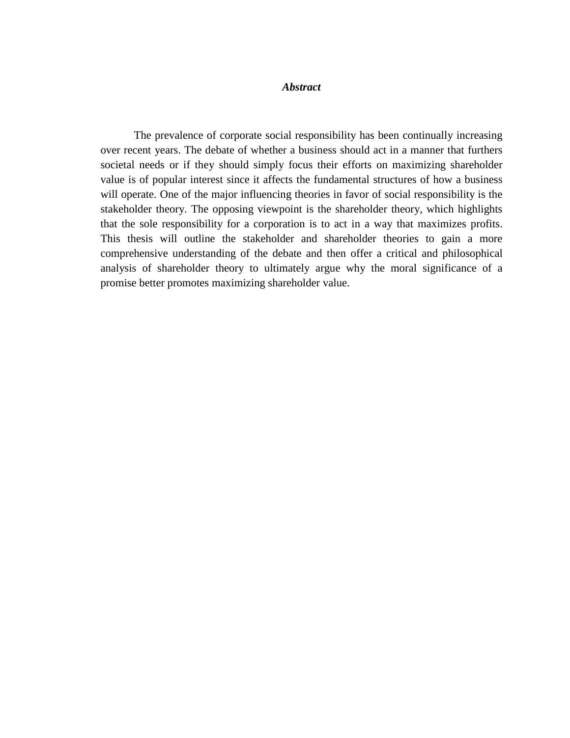# *Abstract*

The prevalence of corporate social responsibility has been continually increasing over recent years. The debate of whether a business should act in a manner that furthers societal needs or if they should simply focus their efforts on maximizing shareholder value is of popular interest since it affects the fundamental structures of how a business will operate. One of the major influencing theories in favor of social responsibility is the stakeholder theory. The opposing viewpoint is the shareholder theory, which highlights that the sole responsibility for a corporation is to act in a way that maximizes profits. This thesis will outline the stakeholder and shareholder theories to gain a more comprehensive understanding of the debate and then offer a critical and philosophical analysis of shareholder theory to ultimately argue why the moral significance of a promise better promotes maximizing shareholder value.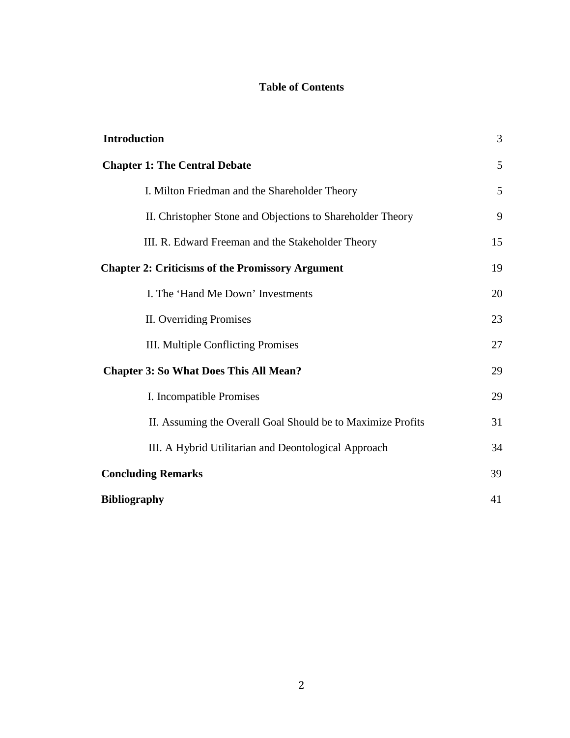# **Table of Contents**

| <b>Introduction</b>                                         | 3  |
|-------------------------------------------------------------|----|
| <b>Chapter 1: The Central Debate</b>                        | 5  |
| I. Milton Friedman and the Shareholder Theory               | 5  |
| II. Christopher Stone and Objections to Shareholder Theory  | 9  |
| III. R. Edward Freeman and the Stakeholder Theory           | 15 |
| <b>Chapter 2: Criticisms of the Promissory Argument</b>     | 19 |
| I. The 'Hand Me Down' Investments                           | 20 |
| II. Overriding Promises                                     | 23 |
| III. Multiple Conflicting Promises                          | 27 |
| <b>Chapter 3: So What Does This All Mean?</b>               | 29 |
| I. Incompatible Promises                                    | 29 |
| II. Assuming the Overall Goal Should be to Maximize Profits | 31 |
| III. A Hybrid Utilitarian and Deontological Approach        | 34 |
| <b>Concluding Remarks</b>                                   | 39 |
| <b>Bibliography</b>                                         | 41 |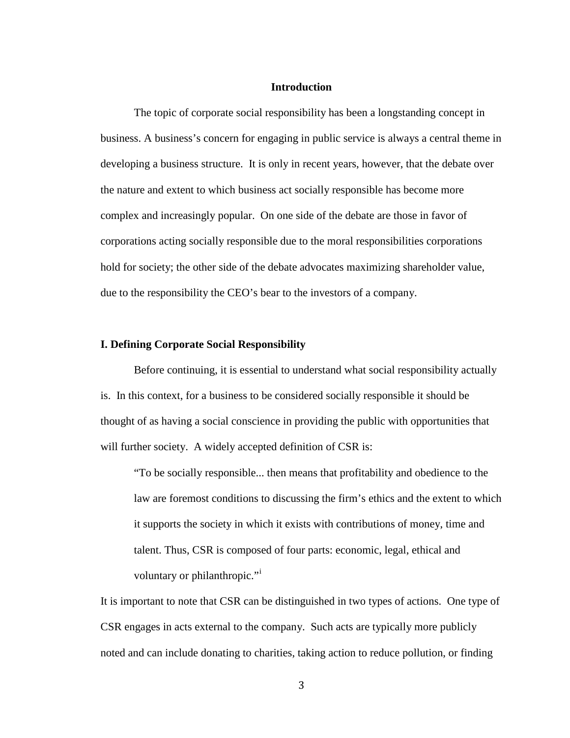# **Introduction**

The topic of corporate social responsibility has been a longstanding concept in business. A business's concern for engaging in public service is always a central theme in developing a business structure. It is only in recent years, however, that the debate over the nature and extent to which business act socially responsible has become more complex and increasingly popular. On one side of the debate are those in favor of corporations acting socially responsible due to the moral responsibilities corporations hold for society; the other side of the debate advocates maximizing shareholder value, due to the responsibility the CEO's bear to the investors of a company.

## **I. Defining Corporate Social Responsibility**

Before continuing, it is essential to understand what social responsibility actually is. In this context, for a business to be considered socially responsible it should be thought of as having a social conscience in providing the public with opportunities that will further society. A widely accepted definition of CSR is:

"To be socially responsible... then means that profitability and obedience to the law are foremost conditions to discussing the firm's ethics and the extent to which it supports the society in which it exists with contributions of money, time and talent. Thus, CSR is composed of four parts: economic, legal, ethical and voluntary or philanthropic."<sup>i</sup>

It is important to note that CSR can be distinguished in two types of actions. One type of CSR engages in acts external to the company. Such acts are typically more publicly noted and can include donating to charities, taking action to reduce pollution, or finding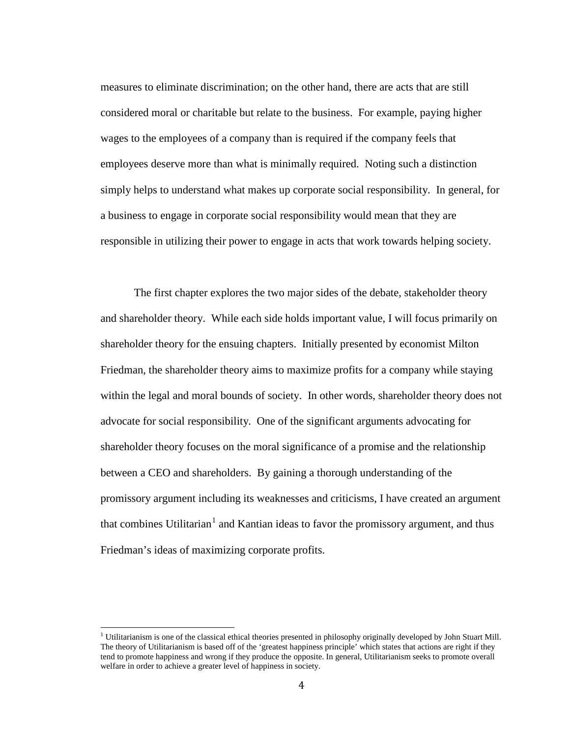measures to eliminate discrimination; on the other hand, there are acts that are still considered moral or charitable but relate to the business. For example, paying higher wages to the employees of a company than is required if the company feels that employees deserve more than what is minimally required. Noting such a distinction simply helps to understand what makes up corporate social responsibility. In general, for a business to engage in corporate social responsibility would mean that they are responsible in utilizing their power to engage in acts that work towards helping society.

The first chapter explores the two major sides of the debate, stakeholder theory and shareholder theory. While each side holds important value, I will focus primarily on shareholder theory for the ensuing chapters. Initially presented by economist Milton Friedman, the shareholder theory aims to maximize profits for a company while staying within the legal and moral bounds of society. In other words, shareholder theory does not advocate for social responsibility. One of the significant arguments advocating for shareholder theory focuses on the moral significance of a promise and the relationship between a CEO and shareholders. By gaining a thorough understanding of the promissory argument including its weaknesses and criticisms, I have created an argument that combines Utilitarian<sup>[1](#page-7-0)</sup> and Kantian ideas to favor the promissory argument, and thus Friedman's ideas of maximizing corporate profits.

<span id="page-7-0"></span><sup>1</sup> Utilitarianism is one of the classical ethical theories presented in philosophy originally developed by John Stuart Mill. The theory of Utilitarianism is based off of the 'greatest happiness principle' which states that actions are right if they tend to promote happiness and wrong if they produce the opposite. In general, Utilitarianism seeks to promote overall welfare in order to achieve a greater level of happiness in society.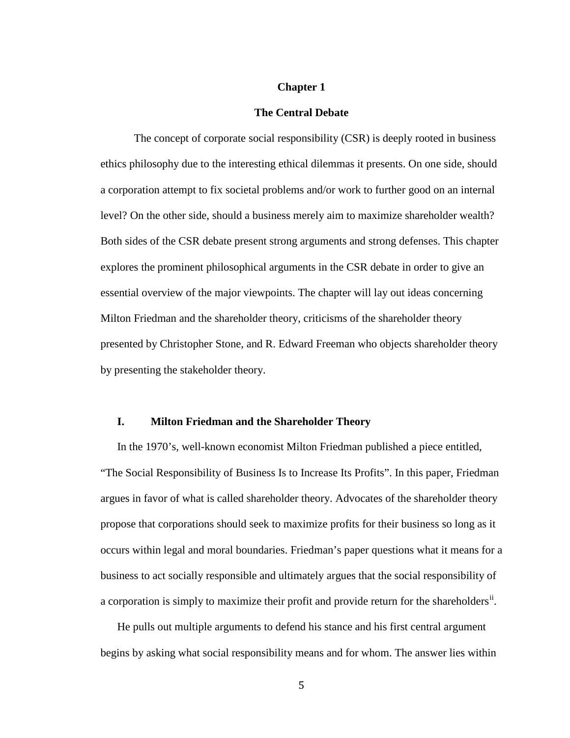# **Chapter 1**

#### **The Central Debate**

The concept of corporate social responsibility (CSR) is deeply rooted in business ethics philosophy due to the interesting ethical dilemmas it presents. On one side, should a corporation attempt to fix societal problems and/or work to further good on an internal level? On the other side, should a business merely aim to maximize shareholder wealth? Both sides of the CSR debate present strong arguments and strong defenses. This chapter explores the prominent philosophical arguments in the CSR debate in order to give an essential overview of the major viewpoints. The chapter will lay out ideas concerning Milton Friedman and the shareholder theory, criticisms of the shareholder theory presented by Christopher Stone, and R. Edward Freeman who objects shareholder theory by presenting the stakeholder theory.

# **I. Milton Friedman and the Shareholder Theory**

In the 1970's, well-known economist Milton Friedman published a piece entitled, "The Social Responsibility of Business Is to Increase Its Profits". In this paper, Friedman argues in favor of what is called shareholder theory. Advocates of the shareholder theory propose that corporations should seek to maximize profits for their business so long as it occurs within legal and moral boundaries. Friedman's paper questions what it means for a business to act socially responsible and ultimately argues that the social responsibility of a corporation is simply to maximize their profit and provide return for the shareholders<sup>ii</sup>.

He pulls out multiple arguments to defend his stance and his first central argument begins by asking what social responsibility means and for whom. The answer lies within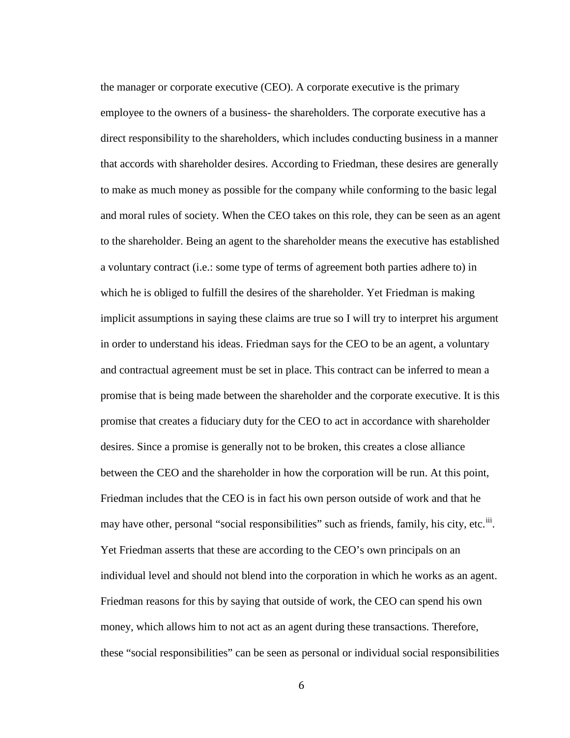the manager or corporate executive (CEO). A corporate executive is the primary employee to the owners of a business- the shareholders. The corporate executive has a direct responsibility to the shareholders, which includes conducting business in a manner that accords with shareholder desires. According to Friedman, these desires are generally to make as much money as possible for the company while conforming to the basic legal and moral rules of society. When the CEO takes on this role, they can be seen as an agent to the shareholder. Being an agent to the shareholder means the executive has established a voluntary contract (i.e.: some type of terms of agreement both parties adhere to) in which he is obliged to fulfill the desires of the shareholder. Yet Friedman is making implicit assumptions in saying these claims are true so I will try to interpret his argument in order to understand his ideas. Friedman says for the CEO to be an agent, a voluntary and contractual agreement must be set in place. This contract can be inferred to mean a promise that is being made between the shareholder and the corporate executive. It is this promise that creates a fiduciary duty for the CEO to act in accordance with shareholder desires. Since a promise is generally not to be broken, this creates a close alliance between the CEO and the shareholder in how the corporation will be run. At this point, Friedman includes that the CEO is in fact his own person outside of work and that he may have other, personal "social responsibilities" such as friends, family, his city, etc.<sup>iii</sup>. Yet Friedman asserts that these are according to the CEO's own principals on an individual level and should not blend into the corporation in which he works as an agent. Friedman reasons for this by saying that outside of work, the CEO can spend his own money, which allows him to not act as an agent during these transactions. Therefore, these "social responsibilities" can be seen as personal or individual social responsibilities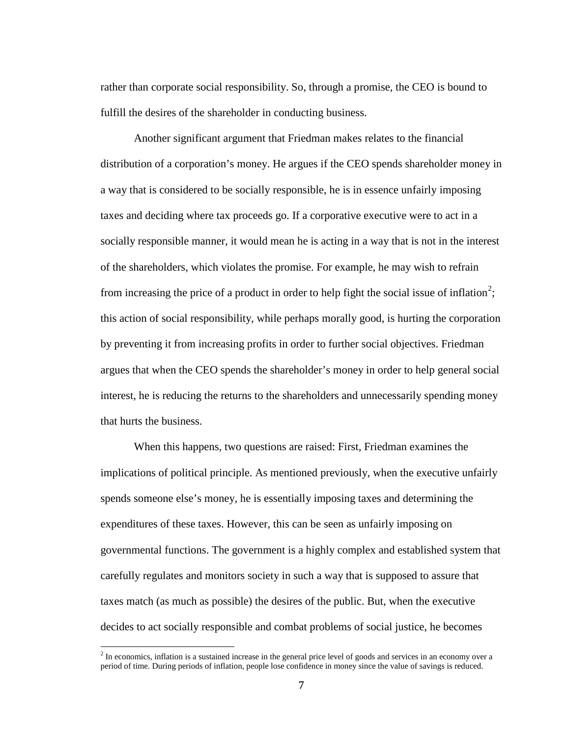rather than corporate social responsibility. So, through a promise, the CEO is bound to fulfill the desires of the shareholder in conducting business.

Another significant argument that Friedman makes relates to the financial distribution of a corporation's money. He argues if the CEO spends shareholder money in a way that is considered to be socially responsible, he is in essence unfairly imposing taxes and deciding where tax proceeds go. If a corporative executive were to act in a socially responsible manner, it would mean he is acting in a way that is not in the interest of the shareholders, which violates the promise. For example, he may wish to refrain from increasing the price of a product in order to help fight the social issue of inflation<sup>[2](#page-10-0)</sup>; this action of social responsibility, while perhaps morally good, is hurting the corporation by preventing it from increasing profits in order to further social objectives. Friedman argues that when the CEO spends the shareholder's money in order to help general social interest, he is reducing the returns to the shareholders and unnecessarily spending money that hurts the business.

When this happens, two questions are raised: First, Friedman examines the implications of political principle. As mentioned previously, when the executive unfairly spends someone else's money, he is essentially imposing taxes and determining the expenditures of these taxes. However, this can be seen as unfairly imposing on governmental functions. The government is a highly complex and established system that carefully regulates and monitors society in such a way that is supposed to assure that taxes match (as much as possible) the desires of the public. But, when the executive decides to act socially responsible and combat problems of social justice, he becomes

<span id="page-10-0"></span><sup>&</sup>lt;sup>2</sup> In economics, inflation is a sustained increase in the general price level of goods and services in an economy over a period of time. During periods of inflation, people lose confidence in money since the value of savings is reduced.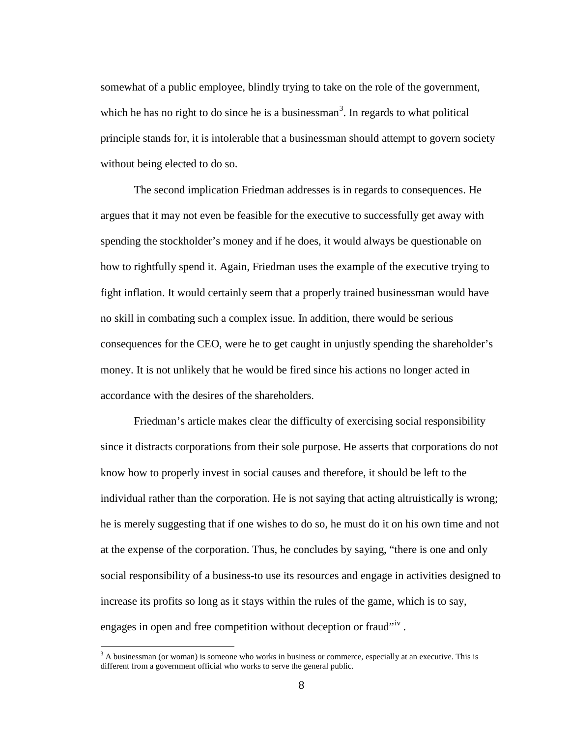somewhat of a public employee, blindly trying to take on the role of the government, which he has no right to do since he is a businessman<sup>[3](#page-11-0)</sup>. In regards to what political principle stands for, it is intolerable that a businessman should attempt to govern society without being elected to do so.

The second implication Friedman addresses is in regards to consequences. He argues that it may not even be feasible for the executive to successfully get away with spending the stockholder's money and if he does, it would always be questionable on how to rightfully spend it. Again, Friedman uses the example of the executive trying to fight inflation. It would certainly seem that a properly trained businessman would have no skill in combating such a complex issue. In addition, there would be serious consequences for the CEO, were he to get caught in unjustly spending the shareholder's money. It is not unlikely that he would be fired since his actions no longer acted in accordance with the desires of the shareholders.

Friedman's article makes clear the difficulty of exercising social responsibility since it distracts corporations from their sole purpose. He asserts that corporations do not know how to properly invest in social causes and therefore, it should be left to the individual rather than the corporation. He is not saying that acting altruistically is wrong; he is merely suggesting that if one wishes to do so, he must do it on his own time and not at the expense of the corporation. Thus, he concludes by saying, "there is one and only social responsibility of a business-to use its resources and engage in activities designed to increase its profits so long as it stays within the rules of the game, which is to say, engages in open and free competition without deception or fraud"<sup>iv</sup>.

<span id="page-11-0"></span><sup>&</sup>lt;sup>3</sup> A businessman (or woman) is someone who works in business or commerce, especially at an executive. This is different from a government official who works to serve the general public.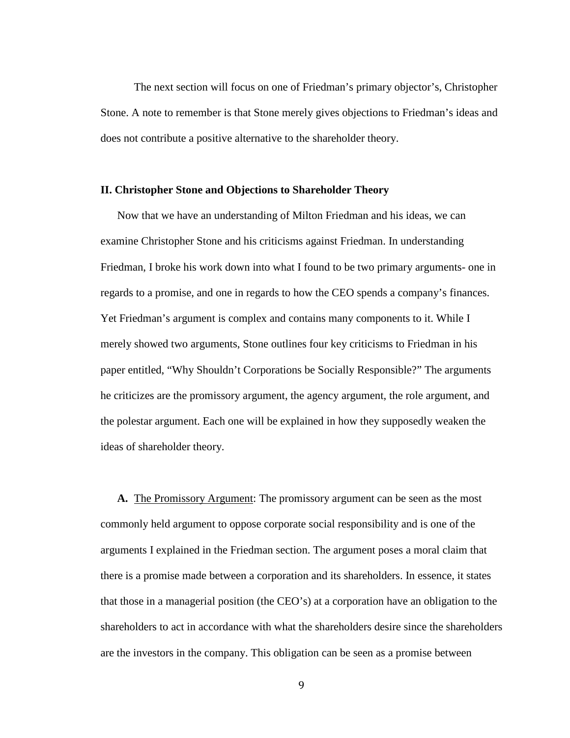The next section will focus on one of Friedman's primary objector's, Christopher Stone. A note to remember is that Stone merely gives objections to Friedman's ideas and does not contribute a positive alternative to the shareholder theory.

## **II. Christopher Stone and Objections to Shareholder Theory**

Now that we have an understanding of Milton Friedman and his ideas, we can examine Christopher Stone and his criticisms against Friedman. In understanding Friedman, I broke his work down into what I found to be two primary arguments- one in regards to a promise, and one in regards to how the CEO spends a company's finances. Yet Friedman's argument is complex and contains many components to it. While I merely showed two arguments, Stone outlines four key criticisms to Friedman in his paper entitled, "Why Shouldn't Corporations be Socially Responsible?" The arguments he criticizes are the promissory argument, the agency argument, the role argument, and the polestar argument. Each one will be explained in how they supposedly weaken the ideas of shareholder theory.

**A.** The Promissory Argument: The promissory argument can be seen as the most commonly held argument to oppose corporate social responsibility and is one of the arguments I explained in the Friedman section. The argument poses a moral claim that there is a promise made between a corporation and its shareholders. In essence, it states that those in a managerial position (the CEO's) at a corporation have an obligation to the shareholders to act in accordance with what the shareholders desire since the shareholders are the investors in the company. This obligation can be seen as a promise between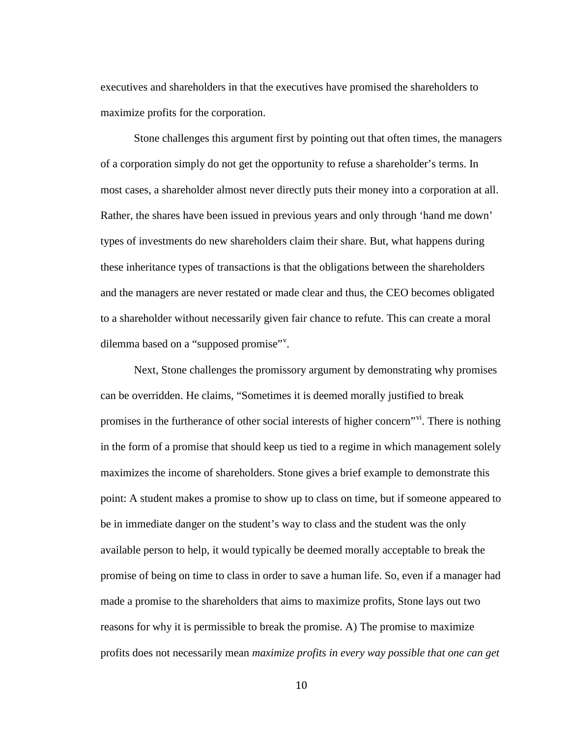executives and shareholders in that the executives have promised the shareholders to maximize profits for the corporation.

Stone challenges this argument first by pointing out that often times, the managers of a corporation simply do not get the opportunity to refuse a shareholder's terms. In most cases, a shareholder almost never directly puts their money into a corporation at all. Rather, the shares have been issued in previous years and only through 'hand me down' types of investments do new shareholders claim their share. But, what happens during these inheritance types of transactions is that the obligations between the shareholders and the managers are never restated or made clear and thus, the CEO becomes obligated to a shareholder without necessarily given fair chance to refute. This can create a moral dilemma based on a "supposed promise"<sup>v</sup>.

Next, Stone challenges the promissory argument by demonstrating why promises can be overridden. He claims, "Sometimes it is deemed morally justified to break promises in the furtherance of other social interests of higher concern<sup>"vi</sup>. There is nothing in the form of a promise that should keep us tied to a regime in which management solely maximizes the income of shareholders. Stone gives a brief example to demonstrate this point: A student makes a promise to show up to class on time, but if someone appeared to be in immediate danger on the student's way to class and the student was the only available person to help, it would typically be deemed morally acceptable to break the promise of being on time to class in order to save a human life. So, even if a manager had made a promise to the shareholders that aims to maximize profits, Stone lays out two reasons for why it is permissible to break the promise. A) The promise to maximize profits does not necessarily mean *maximize profits in every way possible that one can get*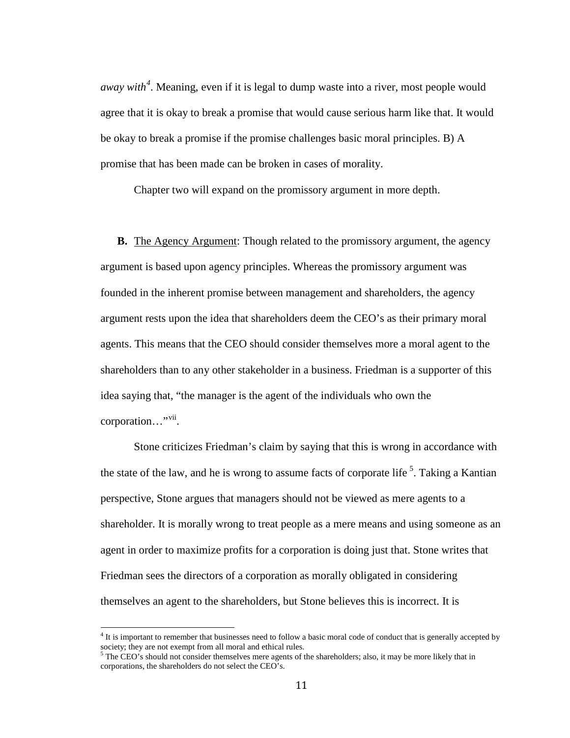*away with[4](#page-14-0)* . Meaning, even if it is legal to dump waste into a river, most people would agree that it is okay to break a promise that would cause serious harm like that. It would be okay to break a promise if the promise challenges basic moral principles. B) A promise that has been made can be broken in cases of morality.

Chapter two will expand on the promissory argument in more depth.

**B.** The Agency Argument: Though related to the promissory argument, the agency argument is based upon agency principles. Whereas the promissory argument was founded in the inherent promise between management and shareholders, the agency argument rests upon the idea that shareholders deem the CEO's as their primary moral agents. This means that the CEO should consider themselves more a moral agent to the shareholders than to any other stakeholder in a business. Friedman is a supporter of this idea saying that, "the manager is the agent of the individuals who own the corporation..."<sup>vii</sup>.

Stone criticizes Friedman's claim by saying that this is wrong in accordance with the state of the law, and he is wrong to assume facts of corporate life<sup>[5](#page-14-1)</sup>. Taking a Kantian perspective, Stone argues that managers should not be viewed as mere agents to a shareholder. It is morally wrong to treat people as a mere means and using someone as an agent in order to maximize profits for a corporation is doing just that. Stone writes that Friedman sees the directors of a corporation as morally obligated in considering themselves an agent to the shareholders, but Stone believes this is incorrect. It is

<span id="page-14-0"></span><sup>&</sup>lt;sup>4</sup> It is important to remember that businesses need to follow a basic moral code of conduct that is generally accepted by society; they are not exempt from all moral and ethical rules.<br><sup>5</sup> The CEO's should not consider themselves mere agents of the shareholders; also, it may be more likely that in

<span id="page-14-1"></span>corporations, the shareholders do not select the CEO's.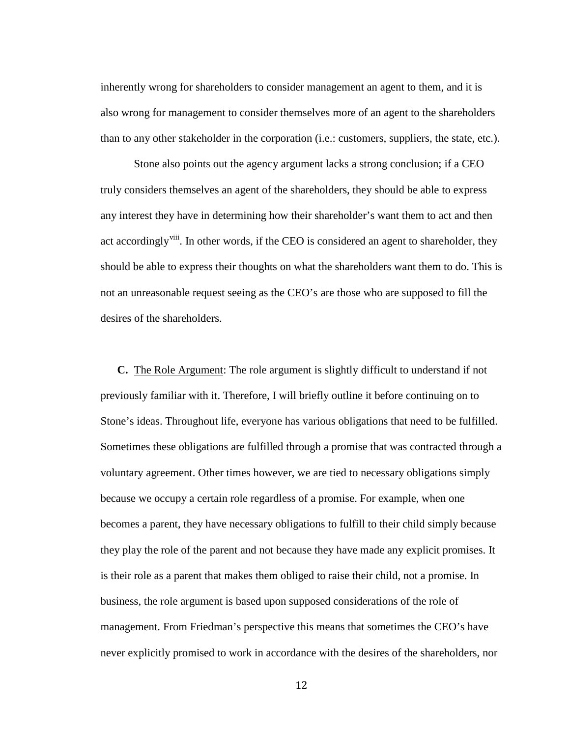inherently wrong for shareholders to consider management an agent to them, and it is also wrong for management to consider themselves more of an agent to the shareholders than to any other stakeholder in the corporation (i.e.: customers, suppliers, the state, etc.).

Stone also points out the agency argument lacks a strong conclusion; if a CEO truly considers themselves an agent of the shareholders, they should be able to express any interest they have in determining how their shareholder's want them to act and then act accordingly<sup>viii</sup>. In other words, if the CEO is considered an agent to shareholder, they should be able to express their thoughts on what the shareholders want them to do. This is not an unreasonable request seeing as the CEO's are those who are supposed to fill the desires of the shareholders.

**C.** The Role Argument: The role argument is slightly difficult to understand if not previously familiar with it. Therefore, I will briefly outline it before continuing on to Stone's ideas. Throughout life, everyone has various obligations that need to be fulfilled. Sometimes these obligations are fulfilled through a promise that was contracted through a voluntary agreement. Other times however, we are tied to necessary obligations simply because we occupy a certain role regardless of a promise. For example, when one becomes a parent, they have necessary obligations to fulfill to their child simply because they play the role of the parent and not because they have made any explicit promises. It is their role as a parent that makes them obliged to raise their child, not a promise. In business, the role argument is based upon supposed considerations of the role of management. From Friedman's perspective this means that sometimes the CEO's have never explicitly promised to work in accordance with the desires of the shareholders, nor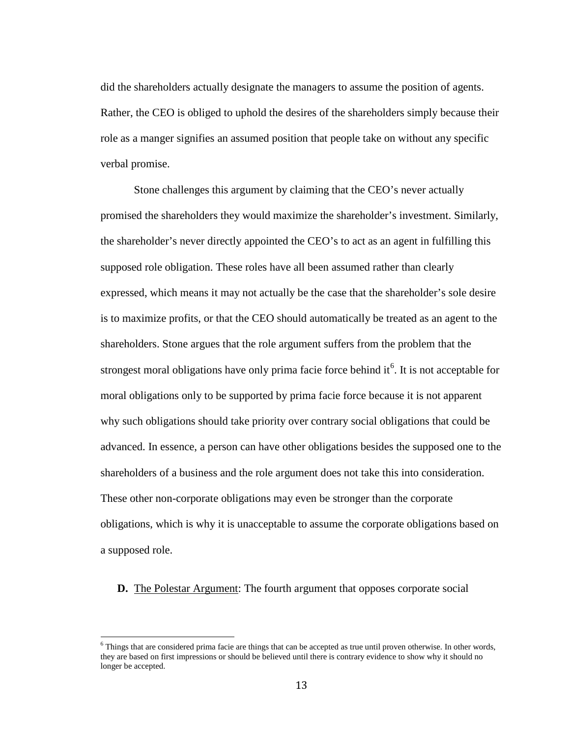did the shareholders actually designate the managers to assume the position of agents. Rather, the CEO is obliged to uphold the desires of the shareholders simply because their role as a manger signifies an assumed position that people take on without any specific verbal promise.

Stone challenges this argument by claiming that the CEO's never actually promised the shareholders they would maximize the shareholder's investment. Similarly, the shareholder's never directly appointed the CEO's to act as an agent in fulfilling this supposed role obligation. These roles have all been assumed rather than clearly expressed, which means it may not actually be the case that the shareholder's sole desire is to maximize profits, or that the CEO should automatically be treated as an agent to the shareholders. Stone argues that the role argument suffers from the problem that the strongest moral obligations have only prima facie force behind it  $6$ . It is not acceptable for moral obligations only to be supported by prima facie force because it is not apparent why such obligations should take priority over contrary social obligations that could be advanced. In essence, a person can have other obligations besides the supposed one to the shareholders of a business and the role argument does not take this into consideration. These other non-corporate obligations may even be stronger than the corporate obligations, which is why it is unacceptable to assume the corporate obligations based on a supposed role.

**D.** The Polestar Argument: The fourth argument that opposes corporate social

<span id="page-16-0"></span> $\overline{6}$  Things that are considered prima facie are things that can be accepted as true until proven otherwise. In other words, they are based on first impressions or should be believed until there is contrary evidence to show why it should no longer be accepted.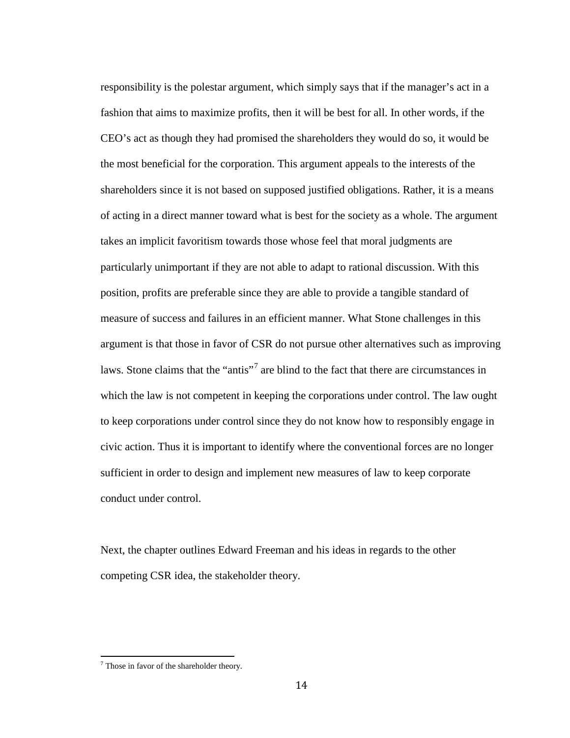responsibility is the polestar argument, which simply says that if the manager's act in a fashion that aims to maximize profits, then it will be best for all. In other words, if the CEO's act as though they had promised the shareholders they would do so, it would be the most beneficial for the corporation. This argument appeals to the interests of the shareholders since it is not based on supposed justified obligations. Rather, it is a means of acting in a direct manner toward what is best for the society as a whole. The argument takes an implicit favoritism towards those whose feel that moral judgments are particularly unimportant if they are not able to adapt to rational discussion. With this position, profits are preferable since they are able to provide a tangible standard of measure of success and failures in an efficient manner. What Stone challenges in this argument is that those in favor of CSR do not pursue other alternatives such as improving laws. Stone claims that the "antis"<sup>[7](#page-17-0)</sup> are blind to the fact that there are circumstances in which the law is not competent in keeping the corporations under control. The law ought to keep corporations under control since they do not know how to responsibly engage in civic action. Thus it is important to identify where the conventional forces are no longer sufficient in order to design and implement new measures of law to keep corporate conduct under control.

Next, the chapter outlines Edward Freeman and his ideas in regards to the other competing CSR idea, the stakeholder theory.

<span id="page-17-0"></span> $\overline{7}$  Those in favor of the shareholder theory.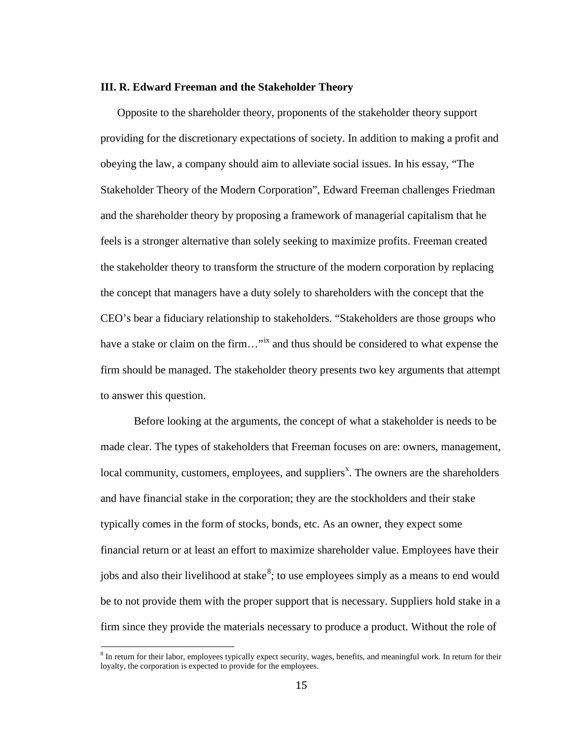# **III. R. Edward Freeman and the Stakeholder Theory**

Opposite to the shareholder theory, proponents of the stakeholder theory support providing for the discretionary expectations of society. In addition to making a profit and obeying the law, a company should aim to alleviate social issues. In his essay, "The Stakeholder Theory of the Modern Corporation", Edward Freeman challenges Friedman and the shareholder theory by proposing a framework of managerial capitalism that he feels is a stronger alternative than solely seeking to maximize profits. Freeman created the stakeholder theory to transform the structure of the modern corporation by replacing the concept that managers have a duty solely to shareholders with the concept that the CEO's bear a fiduciary relationship to stakeholders. "Stakeholders are those groups who have a stake or claim on the firm..."<sup>ix</sup> and thus should be considered to what expense the firm should be managed. The stakeholder theory presents two key arguments that attempt to answer this question.

Before looking at the arguments, the concept of what a stakeholder is needs to be made clear. The types of stakeholders that Freeman focuses on are: owners, management, local community, customers, employees, and suppliers<sup>x</sup>. The owners are the shareholders and have financial stake in the corporation; they are the stockholders and their stake typically comes in the form of stocks, bonds, etc. As an owner, they expect some financial return or at least an effort to maximize shareholder value. Employees have their jobs and also their livelihood at stake<sup>[8](#page-18-0)</sup>; to use employees simply as a means to end would be to not provide them with the proper support that is necessary. Suppliers hold stake in a firm since they provide the materials necessary to produce a product. Without the role of

<span id="page-18-0"></span><sup>&</sup>lt;sup>8</sup> In return for their labor, employees typically expect security, wages, benefits, and meaningful work. In return for their loyalty, the corporation is expected to provide for the employees.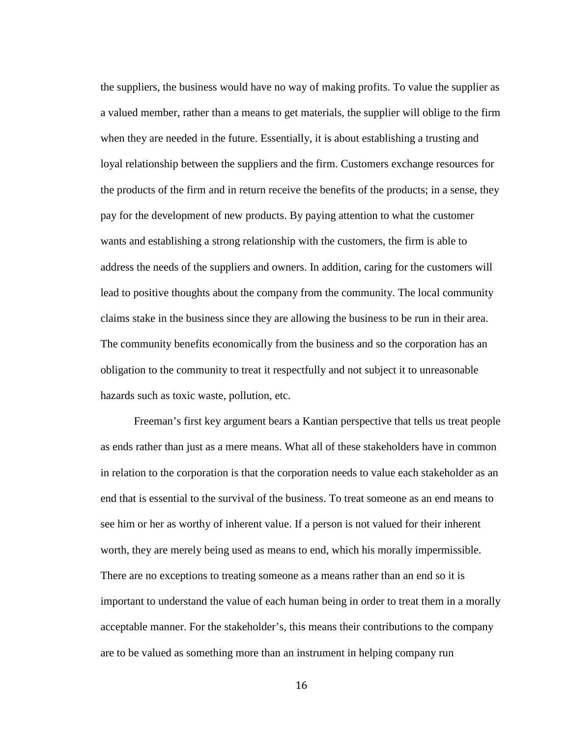the suppliers, the business would have no way of making profits. To value the supplier as a valued member, rather than a means to get materials, the supplier will oblige to the firm when they are needed in the future. Essentially, it is about establishing a trusting and loyal relationship between the suppliers and the firm. Customers exchange resources for the products of the firm and in return receive the benefits of the products; in a sense, they pay for the development of new products. By paying attention to what the customer wants and establishing a strong relationship with the customers, the firm is able to address the needs of the suppliers and owners. In addition, caring for the customers will lead to positive thoughts about the company from the community. The local community claims stake in the business since they are allowing the business to be run in their area. The community benefits economically from the business and so the corporation has an obligation to the community to treat it respectfully and not subject it to unreasonable hazards such as toxic waste, pollution, etc.

Freeman's first key argument bears a Kantian perspective that tells us treat people as ends rather than just as a mere means. What all of these stakeholders have in common in relation to the corporation is that the corporation needs to value each stakeholder as an end that is essential to the survival of the business. To treat someone as an end means to see him or her as worthy of inherent value. If a person is not valued for their inherent worth, they are merely being used as means to end, which his morally impermissible. There are no exceptions to treating someone as a means rather than an end so it is important to understand the value of each human being in order to treat them in a morally acceptable manner. For the stakeholder's, this means their contributions to the company are to be valued as something more than an instrument in helping company run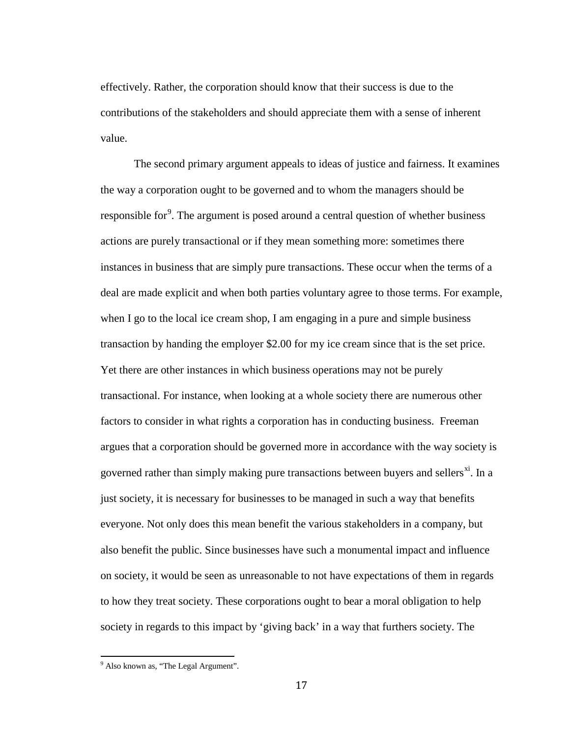effectively. Rather, the corporation should know that their success is due to the contributions of the stakeholders and should appreciate them with a sense of inherent value.

The second primary argument appeals to ideas of justice and fairness. It examines the way a corporation ought to be governed and to whom the managers should be responsible for<sup>[9](#page-20-0)</sup>. The argument is posed around a central question of whether business actions are purely transactional or if they mean something more: sometimes there instances in business that are simply pure transactions. These occur when the terms of a deal are made explicit and when both parties voluntary agree to those terms. For example, when I go to the local ice cream shop, I am engaging in a pure and simple business transaction by handing the employer \$2.00 for my ice cream since that is the set price. Yet there are other instances in which business operations may not be purely transactional. For instance, when looking at a whole society there are numerous other factors to consider in what rights a corporation has in conducting business. Freeman argues that a corporation should be governed more in accordance with the way society is governed rather than simply making pure transactions between buyers and sellers $<sup>xi</sup>$ . In a</sup> just society, it is necessary for businesses to be managed in such a way that benefits everyone. Not only does this mean benefit the various stakeholders in a company, but also benefit the public. Since businesses have such a monumental impact and influence on society, it would be seen as unreasonable to not have expectations of them in regards to how they treat society. These corporations ought to bear a moral obligation to help society in regards to this impact by 'giving back' in a way that furthers society. The

<span id="page-20-0"></span><sup>&</sup>lt;sup>9</sup> Also known as, "The Legal Argument".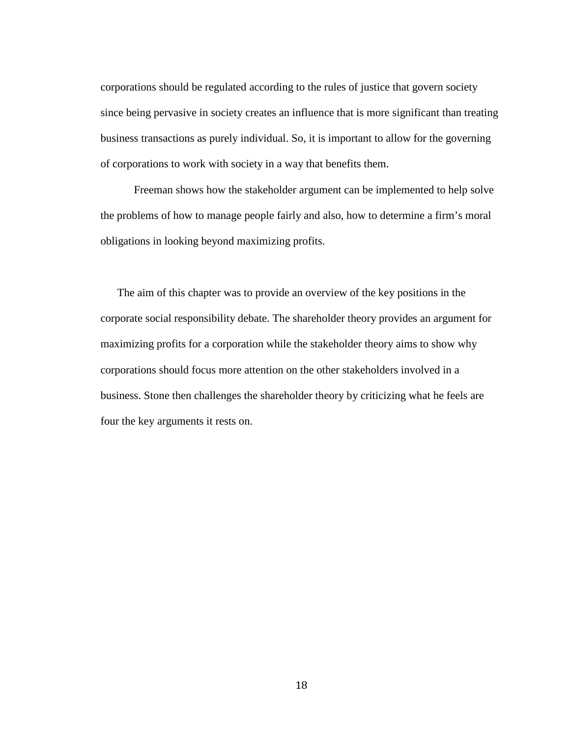corporations should be regulated according to the rules of justice that govern society since being pervasive in society creates an influence that is more significant than treating business transactions as purely individual. So, it is important to allow for the governing of corporations to work with society in a way that benefits them.

Freeman shows how the stakeholder argument can be implemented to help solve the problems of how to manage people fairly and also, how to determine a firm's moral obligations in looking beyond maximizing profits.

The aim of this chapter was to provide an overview of the key positions in the corporate social responsibility debate. The shareholder theory provides an argument for maximizing profits for a corporation while the stakeholder theory aims to show why corporations should focus more attention on the other stakeholders involved in a business. Stone then challenges the shareholder theory by criticizing what he feels are four the key arguments it rests on.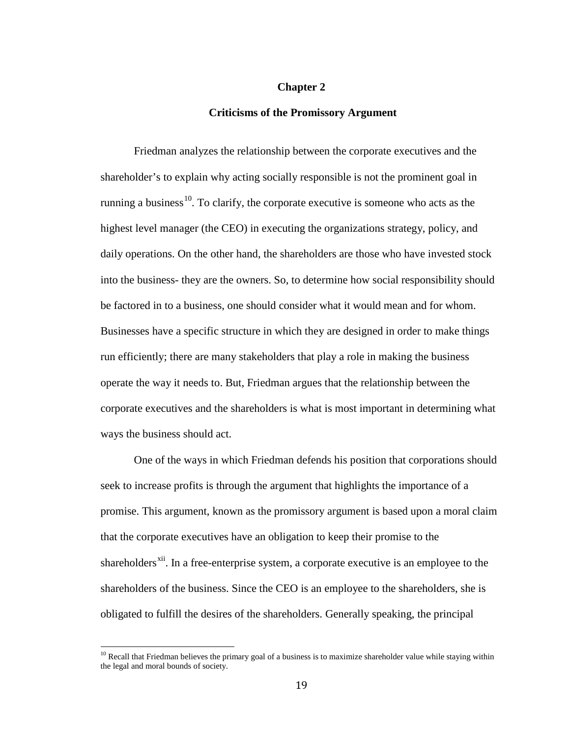# **Chapter 2**

# **Criticisms of the Promissory Argument**

Friedman analyzes the relationship between the corporate executives and the shareholder's to explain why acting socially responsible is not the prominent goal in running a business<sup>[10](#page-22-0)</sup>. To clarify, the corporate executive is someone who acts as the highest level manager (the CEO) in executing the organizations strategy, policy, and daily operations. On the other hand, the shareholders are those who have invested stock into the business- they are the owners. So, to determine how social responsibility should be factored in to a business, one should consider what it would mean and for whom. Businesses have a specific structure in which they are designed in order to make things run efficiently; there are many stakeholders that play a role in making the business operate the way it needs to. But, Friedman argues that the relationship between the corporate executives and the shareholders is what is most important in determining what ways the business should act.

One of the ways in which Friedman defends his position that corporations should seek to increase profits is through the argument that highlights the importance of a promise. This argument, known as the promissory argument is based upon a moral claim that the corporate executives have an obligation to keep their promise to the shareholders<sup>xii</sup>. In a free-enterprise system, a corporate executive is an employee to the shareholders of the business. Since the CEO is an employee to the shareholders, she is obligated to fulfill the desires of the shareholders. Generally speaking, the principal

<span id="page-22-0"></span><sup>&</sup>lt;sup>10</sup> Recall that Friedman believes the primary goal of a business is to maximize shareholder value while staying within the legal and moral bounds of society.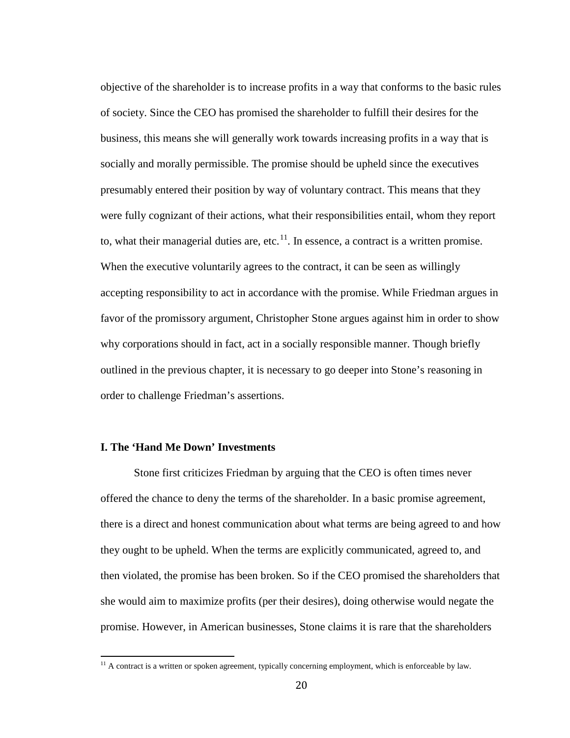objective of the shareholder is to increase profits in a way that conforms to the basic rules of society. Since the CEO has promised the shareholder to fulfill their desires for the business, this means she will generally work towards increasing profits in a way that is socially and morally permissible. The promise should be upheld since the executives presumably entered their position by way of voluntary contract. This means that they were fully cognizant of their actions, what their responsibilities entail, whom they report to, what their managerial duties are, etc. $<sup>11</sup>$  $<sup>11</sup>$  $<sup>11</sup>$ . In essence, a contract is a written promise.</sup> When the executive voluntarily agrees to the contract, it can be seen as willingly accepting responsibility to act in accordance with the promise. While Friedman argues in favor of the promissory argument, Christopher Stone argues against him in order to show why corporations should in fact, act in a socially responsible manner. Though briefly outlined in the previous chapter, it is necessary to go deeper into Stone's reasoning in order to challenge Friedman's assertions.

# **I. The 'Hand Me Down' Investments**

Stone first criticizes Friedman by arguing that the CEO is often times never offered the chance to deny the terms of the shareholder. In a basic promise agreement, there is a direct and honest communication about what terms are being agreed to and how they ought to be upheld. When the terms are explicitly communicated, agreed to, and then violated, the promise has been broken. So if the CEO promised the shareholders that she would aim to maximize profits (per their desires), doing otherwise would negate the promise. However, in American businesses, Stone claims it is rare that the shareholders

<span id="page-23-0"></span> $\frac{11}{11}$  A contract is a written or spoken agreement, typically concerning employment, which is enforceable by law.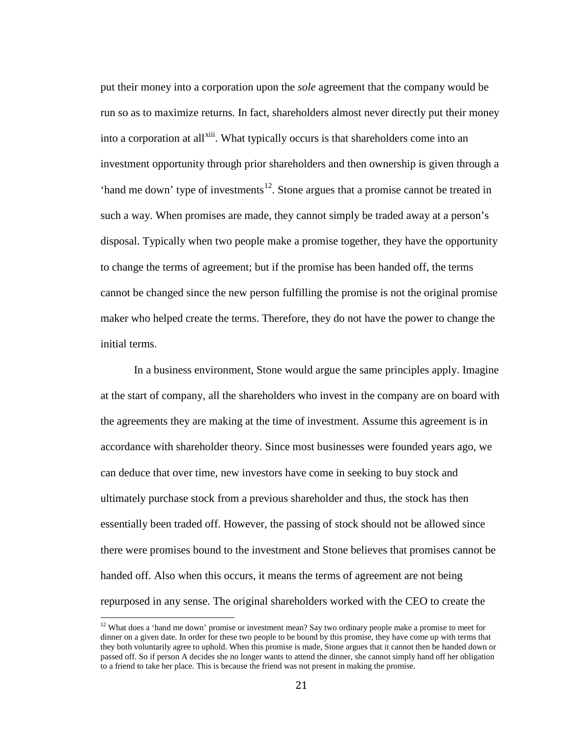put their money into a corporation upon the *sole* agreement that the company would be run so as to maximize returns. In fact, shareholders almost never directly put their money into a corporation at all<sup>xiii</sup>. What typically occurs is that shareholders come into an investment opportunity through prior shareholders and then ownership is given through a 'hand me down' type of investments<sup>[12](#page-24-0)</sup>. Stone argues that a promise cannot be treated in such a way. When promises are made, they cannot simply be traded away at a person's disposal. Typically when two people make a promise together, they have the opportunity to change the terms of agreement; but if the promise has been handed off, the terms cannot be changed since the new person fulfilling the promise is not the original promise maker who helped create the terms. Therefore, they do not have the power to change the initial terms.

In a business environment, Stone would argue the same principles apply. Imagine at the start of company, all the shareholders who invest in the company are on board with the agreements they are making at the time of investment. Assume this agreement is in accordance with shareholder theory. Since most businesses were founded years ago, we can deduce that over time, new investors have come in seeking to buy stock and ultimately purchase stock from a previous shareholder and thus, the stock has then essentially been traded off. However, the passing of stock should not be allowed since there were promises bound to the investment and Stone believes that promises cannot be handed off. Also when this occurs, it means the terms of agreement are not being repurposed in any sense. The original shareholders worked with the CEO to create the

<span id="page-24-0"></span><sup>&</sup>lt;sup>12</sup> What does a 'hand me down' promise or investment mean? Say two ordinary people make a promise to meet for dinner on a given date. In order for these two people to be bound by this promise, they have come up with terms that they both voluntarily agree to uphold. When this promise is made, Stone argues that it cannot then be handed down or passed off. So if person A decides she no longer wants to attend the dinner, she cannot simply hand off her obligation to a friend to take her place. This is because the friend was not present in making the promise.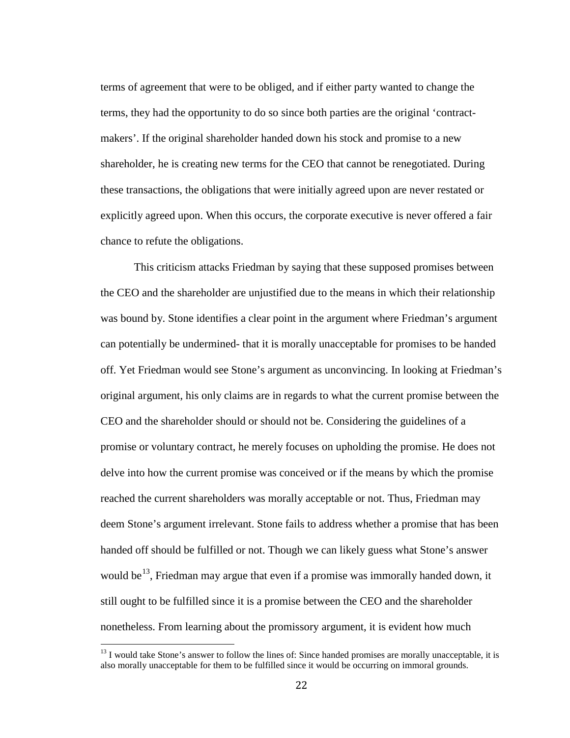terms of agreement that were to be obliged, and if either party wanted to change the terms, they had the opportunity to do so since both parties are the original 'contractmakers'. If the original shareholder handed down his stock and promise to a new shareholder, he is creating new terms for the CEO that cannot be renegotiated. During these transactions, the obligations that were initially agreed upon are never restated or explicitly agreed upon. When this occurs, the corporate executive is never offered a fair chance to refute the obligations.

This criticism attacks Friedman by saying that these supposed promises between the CEO and the shareholder are unjustified due to the means in which their relationship was bound by. Stone identifies a clear point in the argument where Friedman's argument can potentially be undermined- that it is morally unacceptable for promises to be handed off. Yet Friedman would see Stone's argument as unconvincing. In looking at Friedman's original argument, his only claims are in regards to what the current promise between the CEO and the shareholder should or should not be. Considering the guidelines of a promise or voluntary contract, he merely focuses on upholding the promise. He does not delve into how the current promise was conceived or if the means by which the promise reached the current shareholders was morally acceptable or not. Thus, Friedman may deem Stone's argument irrelevant. Stone fails to address whether a promise that has been handed off should be fulfilled or not. Though we can likely guess what Stone's answer would be <sup>[13](#page-25-0)</sup>, Friedman may argue that even if a promise was immorally handed down, it still ought to be fulfilled since it is a promise between the CEO and the shareholder nonetheless. From learning about the promissory argument, it is evident how much

<span id="page-25-0"></span><sup>&</sup>lt;sup>13</sup> I would take Stone's answer to follow the lines of: Since handed promises are morally unacceptable, it is also morally unacceptable for them to be fulfilled since it would be occurring on immoral grounds.  $\overline{1}$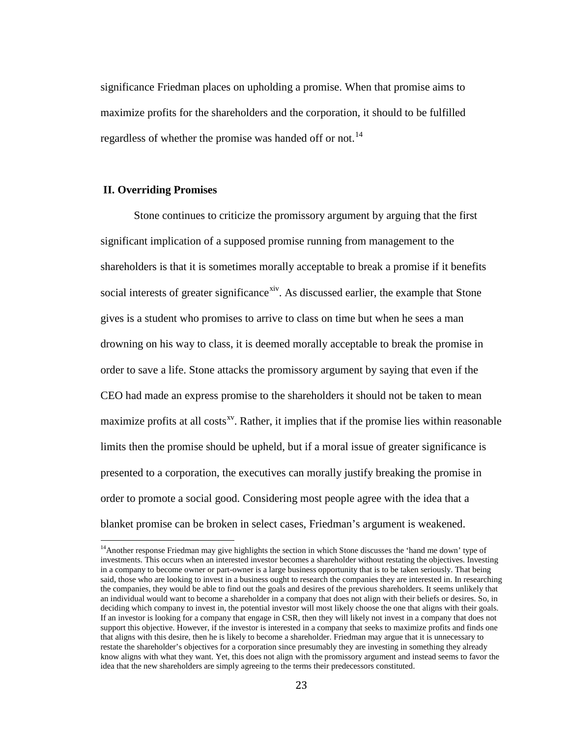significance Friedman places on upholding a promise. When that promise aims to maximize profits for the shareholders and the corporation, it should to be fulfilled regardless of whether the promise was handed off or not.<sup>[14](#page-26-0)</sup>

# **II. Overriding Promises**

Stone continues to criticize the promissory argument by arguing that the first significant implication of a supposed promise running from management to the shareholders is that it is sometimes morally acceptable to break a promise if it benefits social interests of greater significance<sup>xiv</sup>. As discussed earlier, the example that Stone gives is a student who promises to arrive to class on time but when he sees a man drowning on his way to class, it is deemed morally acceptable to break the promise in order to save a life. Stone attacks the promissory argument by saying that even if the CEO had made an express promise to the shareholders it should not be taken to mean maximize profits at all costs $x<sup>x</sup>$ . Rather, it implies that if the promise lies within reasonable limits then the promise should be upheld, but if a moral issue of greater significance is presented to a corporation, the executives can morally justify breaking the promise in order to promote a social good. Considering most people agree with the idea that a blanket promise can be broken in select cases, Friedman's argument is weakened.

<span id="page-26-0"></span><sup>&</sup>lt;sup>14</sup>Another response Friedman may give highlights the section in which Stone discusses the 'hand me down' type of investments. This occurs when an interested investor becomes a shareholder without restating the objectives. Investing in a company to become owner or part-owner is a large business opportunity that is to be taken seriously. That being said, those who are looking to invest in a business ought to research the companies they are interested in. In researching the companies, they would be able to find out the goals and desires of the previous shareholders. It seems unlikely that an individual would want to become a shareholder in a company that does not align with their beliefs or desires. So, in deciding which company to invest in, the potential investor will most likely choose the one that aligns with their goals. If an investor is looking for a company that engage in CSR, then they will likely not invest in a company that does not support this objective. However, if the investor is interested in a company that seeks to maximize profits and finds one that aligns with this desire, then he is likely to become a shareholder. Friedman may argue that it is unnecessary to restate the shareholder's objectives for a corporation since presumably they are investing in something they already know aligns with what they want. Yet, this does not align with the promissory argument and instead seems to favor the idea that the new shareholders are simply agreeing to the terms their predecessors constituted.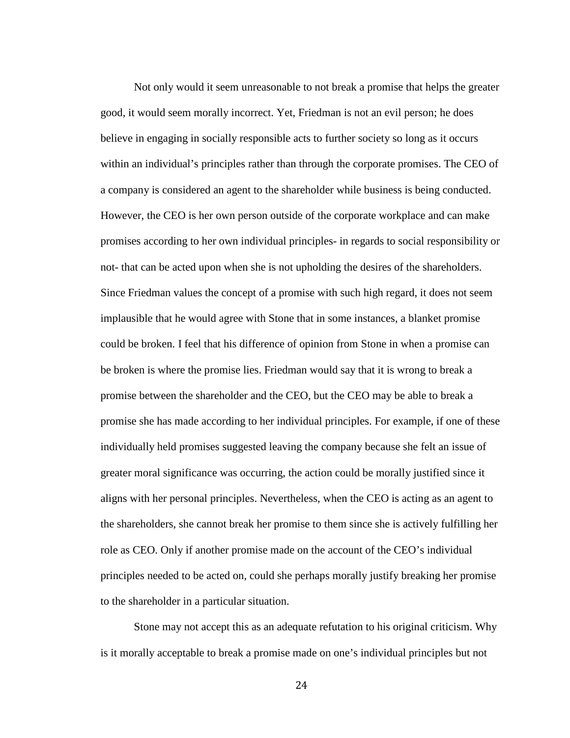Not only would it seem unreasonable to not break a promise that helps the greater good, it would seem morally incorrect. Yet, Friedman is not an evil person; he does believe in engaging in socially responsible acts to further society so long as it occurs within an individual's principles rather than through the corporate promises. The CEO of a company is considered an agent to the shareholder while business is being conducted. However, the CEO is her own person outside of the corporate workplace and can make promises according to her own individual principles- in regards to social responsibility or not- that can be acted upon when she is not upholding the desires of the shareholders. Since Friedman values the concept of a promise with such high regard, it does not seem implausible that he would agree with Stone that in some instances, a blanket promise could be broken. I feel that his difference of opinion from Stone in when a promise can be broken is where the promise lies. Friedman would say that it is wrong to break a promise between the shareholder and the CEO, but the CEO may be able to break a promise she has made according to her individual principles. For example, if one of these individually held promises suggested leaving the company because she felt an issue of greater moral significance was occurring, the action could be morally justified since it aligns with her personal principles. Nevertheless, when the CEO is acting as an agent to the shareholders, she cannot break her promise to them since she is actively fulfilling her role as CEO. Only if another promise made on the account of the CEO's individual principles needed to be acted on, could she perhaps morally justify breaking her promise to the shareholder in a particular situation.

Stone may not accept this as an adequate refutation to his original criticism. Why is it morally acceptable to break a promise made on one's individual principles but not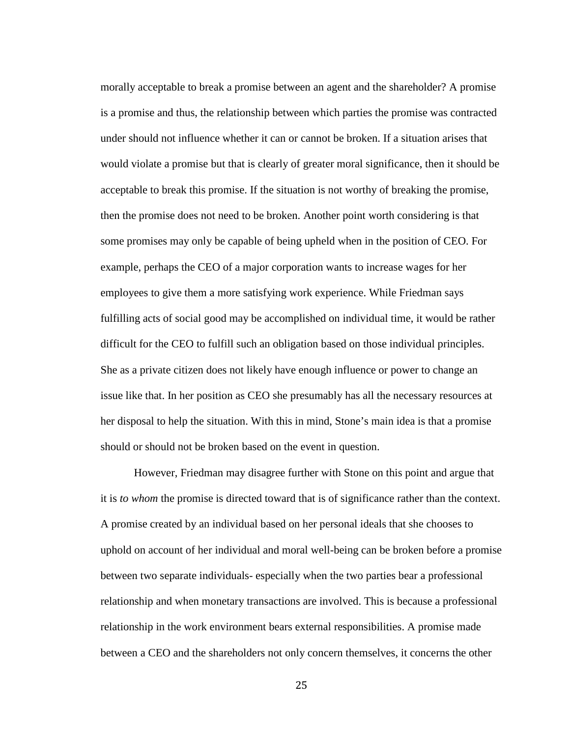morally acceptable to break a promise between an agent and the shareholder? A promise is a promise and thus, the relationship between which parties the promise was contracted under should not influence whether it can or cannot be broken. If a situation arises that would violate a promise but that is clearly of greater moral significance, then it should be acceptable to break this promise. If the situation is not worthy of breaking the promise, then the promise does not need to be broken. Another point worth considering is that some promises may only be capable of being upheld when in the position of CEO. For example, perhaps the CEO of a major corporation wants to increase wages for her employees to give them a more satisfying work experience. While Friedman says fulfilling acts of social good may be accomplished on individual time, it would be rather difficult for the CEO to fulfill such an obligation based on those individual principles. She as a private citizen does not likely have enough influence or power to change an issue like that. In her position as CEO she presumably has all the necessary resources at her disposal to help the situation. With this in mind, Stone's main idea is that a promise should or should not be broken based on the event in question.

However, Friedman may disagree further with Stone on this point and argue that it is *to whom* the promise is directed toward that is of significance rather than the context. A promise created by an individual based on her personal ideals that she chooses to uphold on account of her individual and moral well-being can be broken before a promise between two separate individuals- especially when the two parties bear a professional relationship and when monetary transactions are involved. This is because a professional relationship in the work environment bears external responsibilities. A promise made between a CEO and the shareholders not only concern themselves, it concerns the other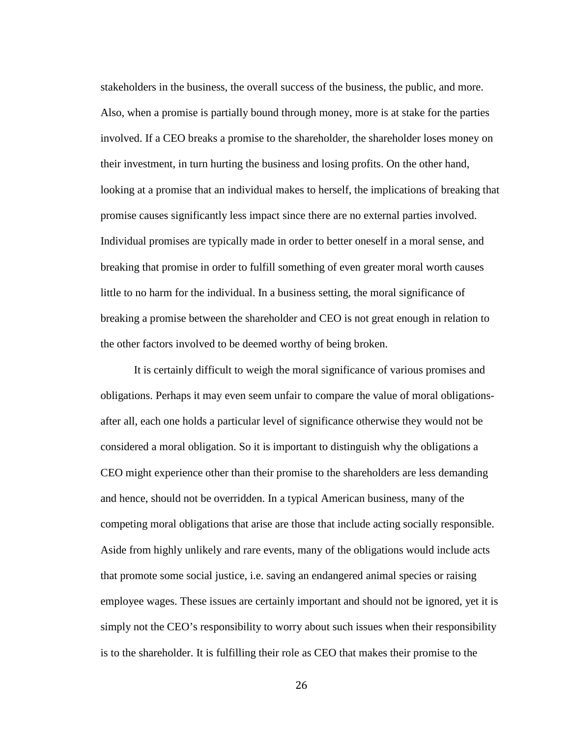stakeholders in the business, the overall success of the business, the public, and more. Also, when a promise is partially bound through money, more is at stake for the parties involved. If a CEO breaks a promise to the shareholder, the shareholder loses money on their investment, in turn hurting the business and losing profits. On the other hand, looking at a promise that an individual makes to herself, the implications of breaking that promise causes significantly less impact since there are no external parties involved. Individual promises are typically made in order to better oneself in a moral sense, and breaking that promise in order to fulfill something of even greater moral worth causes little to no harm for the individual. In a business setting, the moral significance of breaking a promise between the shareholder and CEO is not great enough in relation to the other factors involved to be deemed worthy of being broken.

It is certainly difficult to weigh the moral significance of various promises and obligations. Perhaps it may even seem unfair to compare the value of moral obligationsafter all, each one holds a particular level of significance otherwise they would not be considered a moral obligation. So it is important to distinguish why the obligations a CEO might experience other than their promise to the shareholders are less demanding and hence, should not be overridden. In a typical American business, many of the competing moral obligations that arise are those that include acting socially responsible. Aside from highly unlikely and rare events, many of the obligations would include acts that promote some social justice, i.e. saving an endangered animal species or raising employee wages. These issues are certainly important and should not be ignored, yet it is simply not the CEO's responsibility to worry about such issues when their responsibility is to the shareholder. It is fulfilling their role as CEO that makes their promise to the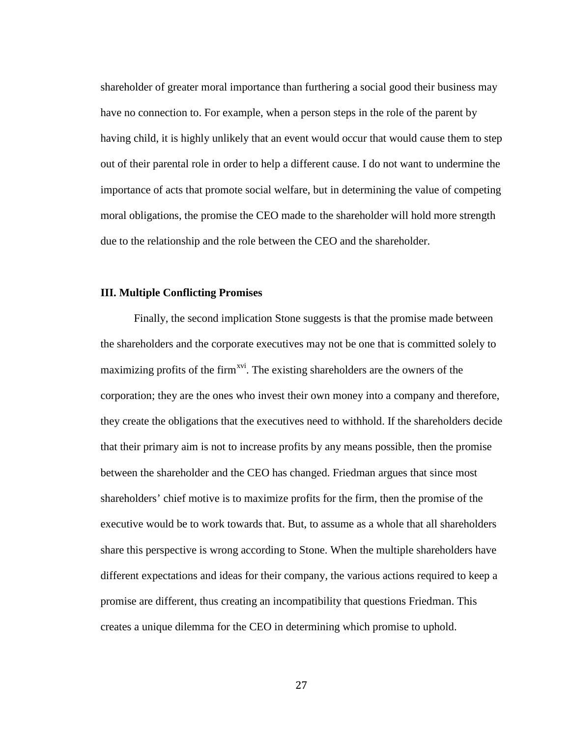shareholder of greater moral importance than furthering a social good their business may have no connection to. For example, when a person steps in the role of the parent by having child, it is highly unlikely that an event would occur that would cause them to step out of their parental role in order to help a different cause. I do not want to undermine the importance of acts that promote social welfare, but in determining the value of competing moral obligations, the promise the CEO made to the shareholder will hold more strength due to the relationship and the role between the CEO and the shareholder.

# **III. Multiple Conflicting Promises**

Finally, the second implication Stone suggests is that the promise made between the shareholders and the corporate executives may not be one that is committed solely to maximizing profits of the firm<sup>xvi</sup>. The existing shareholders are the owners of the corporation; they are the ones who invest their own money into a company and therefore, they create the obligations that the executives need to withhold. If the shareholders decide that their primary aim is not to increase profits by any means possible, then the promise between the shareholder and the CEO has changed. Friedman argues that since most shareholders' chief motive is to maximize profits for the firm, then the promise of the executive would be to work towards that. But, to assume as a whole that all shareholders share this perspective is wrong according to Stone. When the multiple shareholders have different expectations and ideas for their company, the various actions required to keep a promise are different, thus creating an incompatibility that questions Friedman. This creates a unique dilemma for the CEO in determining which promise to uphold.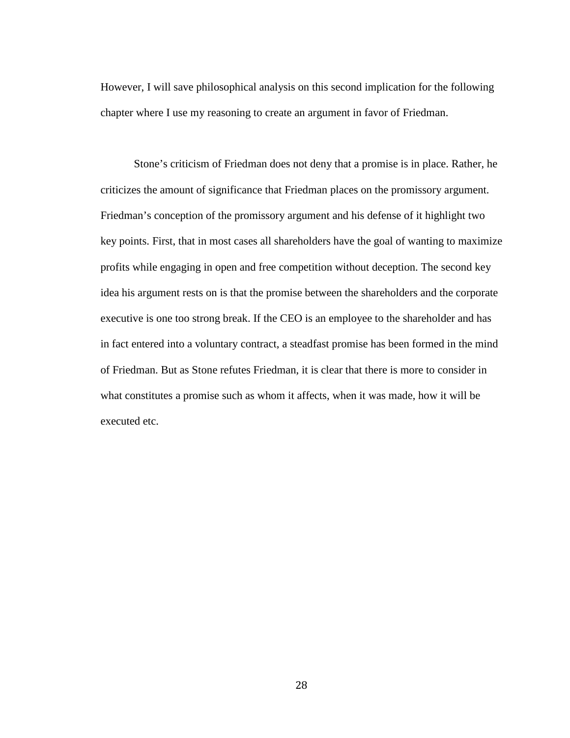However, I will save philosophical analysis on this second implication for the following chapter where I use my reasoning to create an argument in favor of Friedman.

Stone's criticism of Friedman does not deny that a promise is in place. Rather, he criticizes the amount of significance that Friedman places on the promissory argument. Friedman's conception of the promissory argument and his defense of it highlight two key points. First, that in most cases all shareholders have the goal of wanting to maximize profits while engaging in open and free competition without deception. The second key idea his argument rests on is that the promise between the shareholders and the corporate executive is one too strong break. If the CEO is an employee to the shareholder and has in fact entered into a voluntary contract, a steadfast promise has been formed in the mind of Friedman. But as Stone refutes Friedman, it is clear that there is more to consider in what constitutes a promise such as whom it affects, when it was made, how it will be executed etc.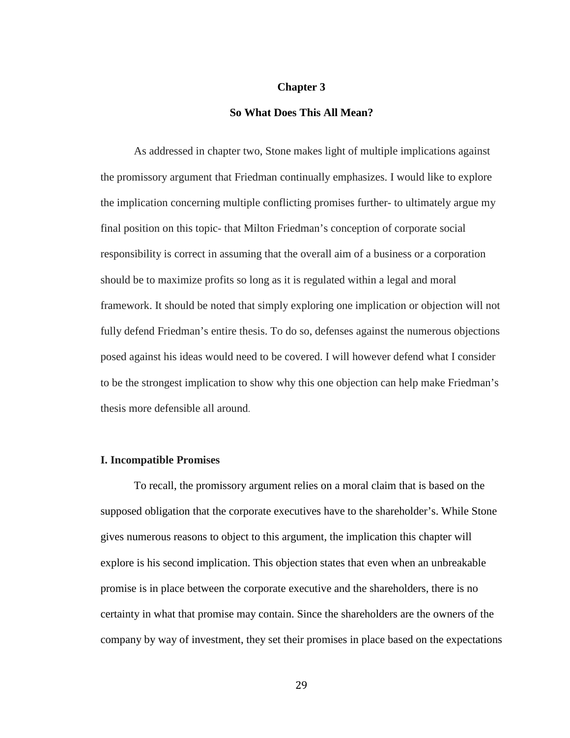## **Chapter 3**

## **So What Does This All Mean?**

As addressed in chapter two, Stone makes light of multiple implications against the promissory argument that Friedman continually emphasizes. I would like to explore the implication concerning multiple conflicting promises further- to ultimately argue my final position on this topic- that Milton Friedman's conception of corporate social responsibility is correct in assuming that the overall aim of a business or a corporation should be to maximize profits so long as it is regulated within a legal and moral framework. It should be noted that simply exploring one implication or objection will not fully defend Friedman's entire thesis. To do so, defenses against the numerous objections posed against his ideas would need to be covered. I will however defend what I consider to be the strongest implication to show why this one objection can help make Friedman's thesis more defensible all around.

#### **I. Incompatible Promises**

To recall, the promissory argument relies on a moral claim that is based on the supposed obligation that the corporate executives have to the shareholder's. While Stone gives numerous reasons to object to this argument, the implication this chapter will explore is his second implication. This objection states that even when an unbreakable promise is in place between the corporate executive and the shareholders, there is no certainty in what that promise may contain. Since the shareholders are the owners of the company by way of investment, they set their promises in place based on the expectations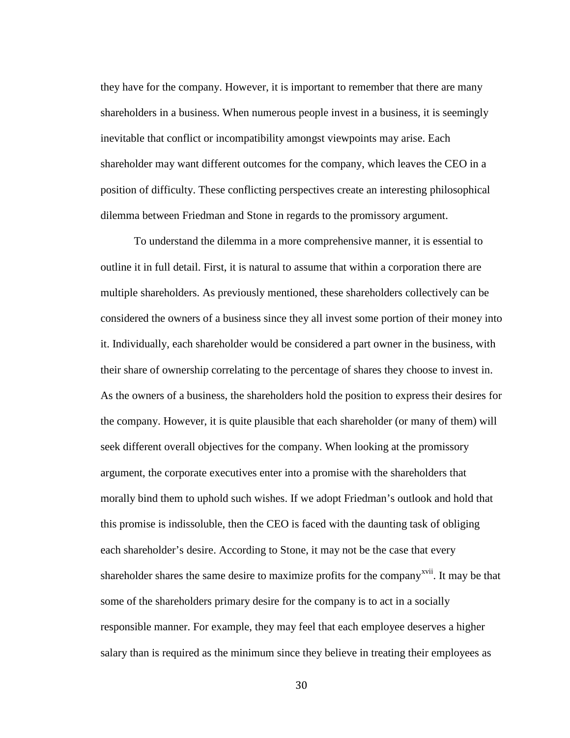they have for the company. However, it is important to remember that there are many shareholders in a business. When numerous people invest in a business, it is seemingly inevitable that conflict or incompatibility amongst viewpoints may arise. Each shareholder may want different outcomes for the company, which leaves the CEO in a position of difficulty. These conflicting perspectives create an interesting philosophical dilemma between Friedman and Stone in regards to the promissory argument.

To understand the dilemma in a more comprehensive manner, it is essential to outline it in full detail. First, it is natural to assume that within a corporation there are multiple shareholders. As previously mentioned, these shareholders collectively can be considered the owners of a business since they all invest some portion of their money into it. Individually, each shareholder would be considered a part owner in the business, with their share of ownership correlating to the percentage of shares they choose to invest in. As the owners of a business, the shareholders hold the position to express their desires for the company. However, it is quite plausible that each shareholder (or many of them) will seek different overall objectives for the company. When looking at the promissory argument, the corporate executives enter into a promise with the shareholders that morally bind them to uphold such wishes. If we adopt Friedman's outlook and hold that this promise is indissoluble, then the CEO is faced with the daunting task of obliging each shareholder's desire. According to Stone, it may not be the case that every shareholder shares the same desire to maximize profits for the company<sup>xvii</sup>. It may be that some of the shareholders primary desire for the company is to act in a socially responsible manner. For example, they may feel that each employee deserves a higher salary than is required as the minimum since they believe in treating their employees as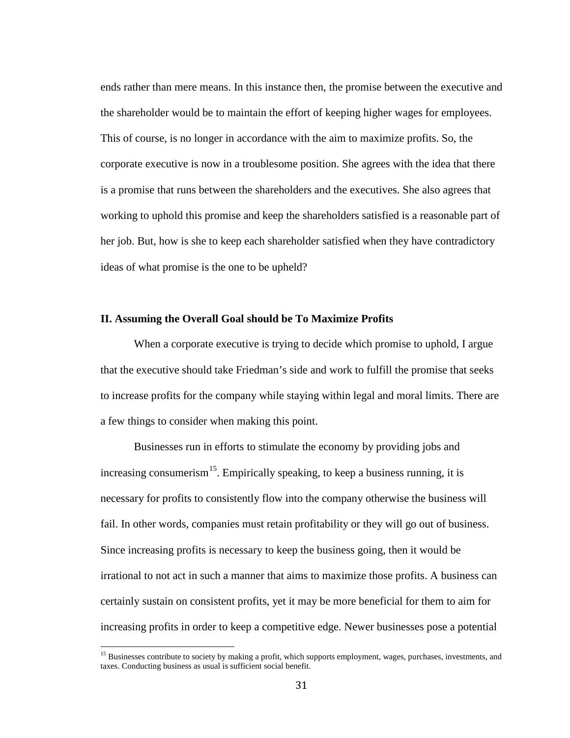ends rather than mere means. In this instance then, the promise between the executive and the shareholder would be to maintain the effort of keeping higher wages for employees. This of course, is no longer in accordance with the aim to maximize profits. So, the corporate executive is now in a troublesome position. She agrees with the idea that there is a promise that runs between the shareholders and the executives. She also agrees that working to uphold this promise and keep the shareholders satisfied is a reasonable part of her job. But, how is she to keep each shareholder satisfied when they have contradictory ideas of what promise is the one to be upheld?

# **II. Assuming the Overall Goal should be To Maximize Profits**

When a corporate executive is trying to decide which promise to uphold, I argue that the executive should take Friedman's side and work to fulfill the promise that seeks to increase profits for the company while staying within legal and moral limits. There are a few things to consider when making this point.

Businesses run in efforts to stimulate the economy by providing jobs and increasing consumerism<sup>[15](#page-34-0)</sup>. Empirically speaking, to keep a business running, it is necessary for profits to consistently flow into the company otherwise the business will fail. In other words, companies must retain profitability or they will go out of business. Since increasing profits is necessary to keep the business going, then it would be irrational to not act in such a manner that aims to maximize those profits. A business can certainly sustain on consistent profits, yet it may be more beneficial for them to aim for increasing profits in order to keep a competitive edge. Newer businesses pose a potential

<span id="page-34-0"></span><sup>&</sup>lt;sup>15</sup> Businesses contribute to society by making a profit, which supports employment, wages, purchases, investments, and taxes. Conducting business as usual is sufficient social benefit.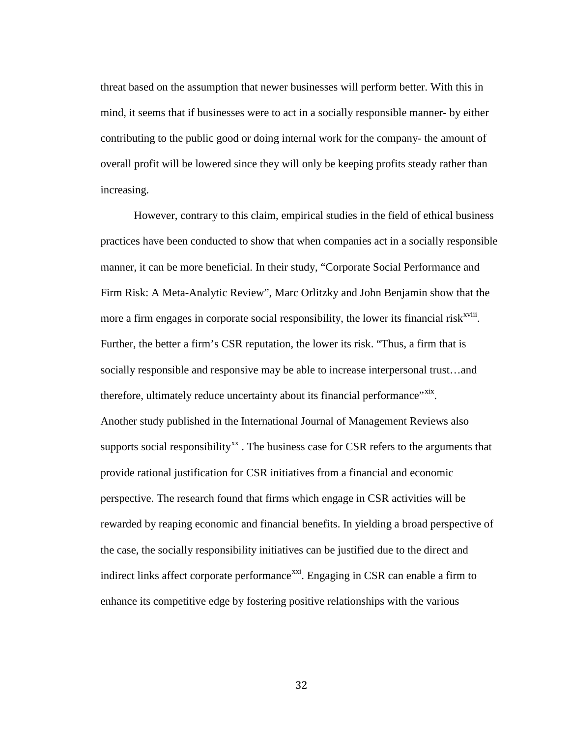threat based on the assumption that newer businesses will perform better. With this in mind, it seems that if businesses were to act in a socially responsible manner- by either contributing to the public good or doing internal work for the company- the amount of overall profit will be lowered since they will only be keeping profits steady rather than increasing.

However, contrary to this claim, empirical studies in the field of ethical business practices have been conducted to show that when companies act in a socially responsible manner, it can be more beneficial. In their study, "Corporate Social Performance and Firm Risk: A Meta-Analytic Review", Marc Orlitzky and John Benjamin show that the more a firm engages in corporate social responsibility, the lower its financial risk<sup>xviii</sup>. Further, the better a firm's CSR reputation, the lower its risk. "Thus, a firm that is socially responsible and responsive may be able to increase interpersonal trust…and therefore, ultimately reduce uncertainty about its financial performance<sup>"xix</sup>. Another study published in the International Journal of Management Reviews also supports social responsibility<sup>xx</sup>. The business case for CSR refers to the arguments that provide rational justification for CSR initiatives from a financial and economic perspective. The research found that firms which engage in CSR activities will be rewarded by reaping economic and financial benefits. In yielding a broad perspective of the case, the socially responsibility initiatives can be justified due to the direct and indirect links affect corporate performance $^{xxi}$ . Engaging in CSR can enable a firm to enhance its competitive edge by fostering positive relationships with the various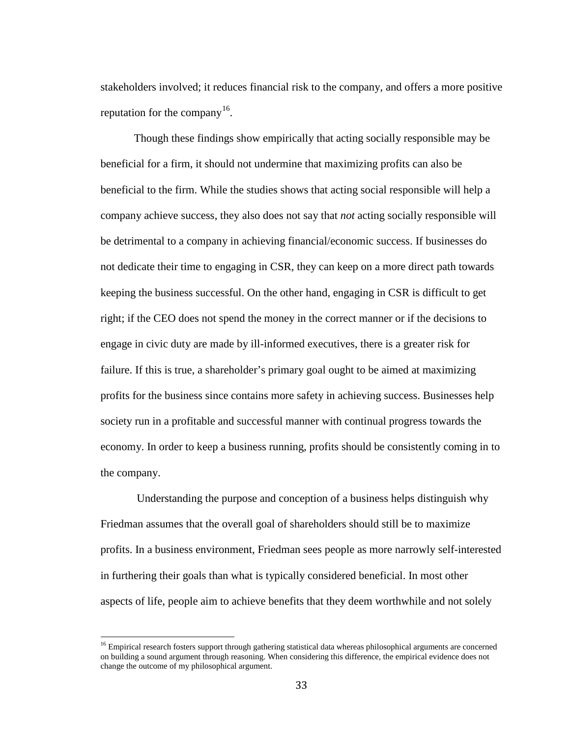stakeholders involved; it reduces financial risk to the company, and offers a more positive reputation for the company<sup>16</sup>.

Though these findings show empirically that acting socially responsible may be beneficial for a firm, it should not undermine that maximizing profits can also be beneficial to the firm. While the studies shows that acting social responsible will help a company achieve success, they also does not say that *not* acting socially responsible will be detrimental to a company in achieving financial/economic success. If businesses do not dedicate their time to engaging in CSR, they can keep on a more direct path towards keeping the business successful. On the other hand, engaging in CSR is difficult to get right; if the CEO does not spend the money in the correct manner or if the decisions to engage in civic duty are made by ill-informed executives, there is a greater risk for failure. If this is true, a shareholder's primary goal ought to be aimed at maximizing profits for the business since contains more safety in achieving success. Businesses help society run in a profitable and successful manner with continual progress towards the economy. In order to keep a business running, profits should be consistently coming in to the company.

Understanding the purpose and conception of a business helps distinguish why Friedman assumes that the overall goal of shareholders should still be to maximize profits. In a business environment, Friedman sees people as more narrowly self-interested in furthering their goals than what is typically considered beneficial. In most other aspects of life, people aim to achieve benefits that they deem worthwhile and not solely

<span id="page-36-0"></span><sup>&</sup>lt;sup>16</sup> Empirical research fosters support through gathering statistical data whereas philosophical arguments are concerned on building a sound argument through reasoning. When considering this difference, the empirical evidence does not change the outcome of my philosophical argument.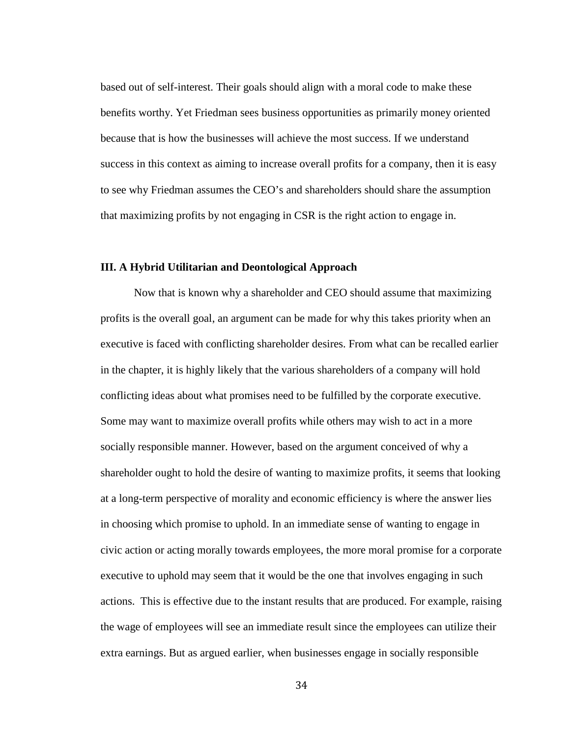based out of self-interest. Their goals should align with a moral code to make these benefits worthy. Yet Friedman sees business opportunities as primarily money oriented because that is how the businesses will achieve the most success. If we understand success in this context as aiming to increase overall profits for a company, then it is easy to see why Friedman assumes the CEO's and shareholders should share the assumption that maximizing profits by not engaging in CSR is the right action to engage in.

## **III. A Hybrid Utilitarian and Deontological Approach**

Now that is known why a shareholder and CEO should assume that maximizing profits is the overall goal, an argument can be made for why this takes priority when an executive is faced with conflicting shareholder desires. From what can be recalled earlier in the chapter, it is highly likely that the various shareholders of a company will hold conflicting ideas about what promises need to be fulfilled by the corporate executive. Some may want to maximize overall profits while others may wish to act in a more socially responsible manner. However, based on the argument conceived of why a shareholder ought to hold the desire of wanting to maximize profits, it seems that looking at a long-term perspective of morality and economic efficiency is where the answer lies in choosing which promise to uphold. In an immediate sense of wanting to engage in civic action or acting morally towards employees, the more moral promise for a corporate executive to uphold may seem that it would be the one that involves engaging in such actions. This is effective due to the instant results that are produced. For example, raising the wage of employees will see an immediate result since the employees can utilize their extra earnings. But as argued earlier, when businesses engage in socially responsible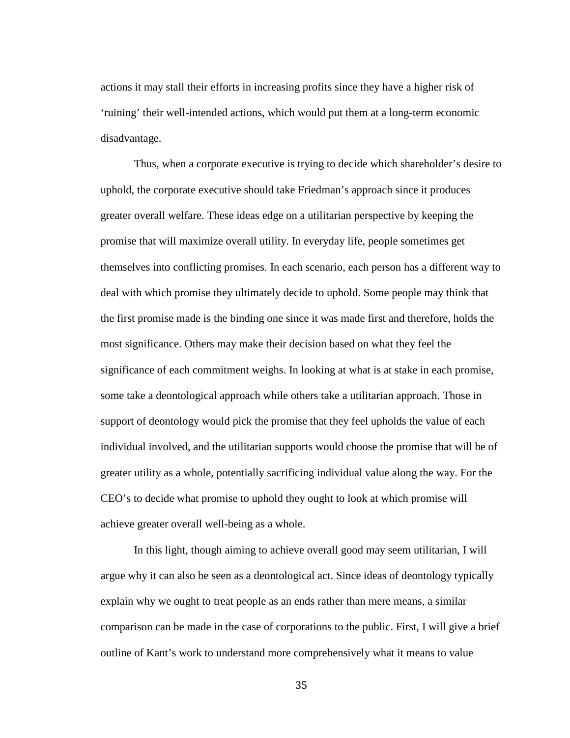actions it may stall their efforts in increasing profits since they have a higher risk of 'ruining' their well-intended actions, which would put them at a long-term economic disadvantage.

Thus, when a corporate executive is trying to decide which shareholder's desire to uphold, the corporate executive should take Friedman's approach since it produces greater overall welfare. These ideas edge on a utilitarian perspective by keeping the promise that will maximize overall utility. In everyday life, people sometimes get themselves into conflicting promises. In each scenario, each person has a different way to deal with which promise they ultimately decide to uphold. Some people may think that the first promise made is the binding one since it was made first and therefore, holds the most significance. Others may make their decision based on what they feel the significance of each commitment weighs. In looking at what is at stake in each promise, some take a deontological approach while others take a utilitarian approach. Those in support of deontology would pick the promise that they feel upholds the value of each individual involved, and the utilitarian supports would choose the promise that will be of greater utility as a whole, potentially sacrificing individual value along the way. For the CEO's to decide what promise to uphold they ought to look at which promise will achieve greater overall well-being as a whole.

In this light, though aiming to achieve overall good may seem utilitarian, I will argue why it can also be seen as a deontological act. Since ideas of deontology typically explain why we ought to treat people as an ends rather than mere means, a similar comparison can be made in the case of corporations to the public. First, I will give a brief outline of Kant's work to understand more comprehensively what it means to value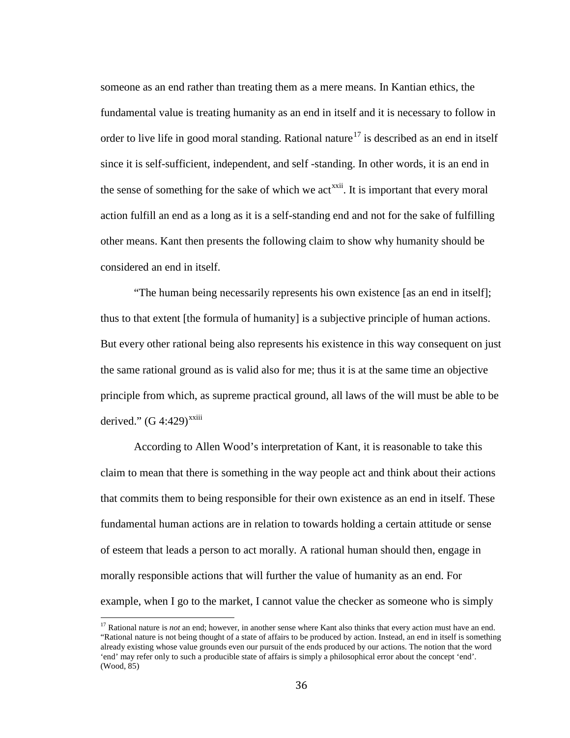someone as an end rather than treating them as a mere means. In Kantian ethics, the fundamental value is treating humanity as an end in itself and it is necessary to follow in order to live life in good moral standing. Rational nature<sup>[17](#page-39-0)</sup> is described as an end in itself since it is self-sufficient, independent, and self -standing. In other words, it is an end in the sense of something for the sake of which we act<sup> $xxii$ </sup>. It is important that every moral action fulfill an end as a long as it is a self-standing end and not for the sake of fulfilling other means. Kant then presents the following claim to show why humanity should be considered an end in itself.

"The human being necessarily represents his own existence [as an end in itself]; thus to that extent [the formula of humanity] is a subjective principle of human actions. But every other rational being also represents his existence in this way consequent on just the same rational ground as is valid also for me; thus it is at the same time an objective principle from which, as supreme practical ground, all laws of the will must be able to be derived."  $(G\ 4:429)^{xxiii}$ 

According to Allen Wood's interpretation of Kant, it is reasonable to take this claim to mean that there is something in the way people act and think about their actions that commits them to being responsible for their own existence as an end in itself. These fundamental human actions are in relation to towards holding a certain attitude or sense of esteem that leads a person to act morally. A rational human should then, engage in morally responsible actions that will further the value of humanity as an end. For example, when I go to the market, I cannot value the checker as someone who is simply

<span id="page-39-0"></span><sup>&</sup>lt;sup>17</sup> Rational nature is *not* an end; however, in another sense where Kant also thinks that every action must have an end. "Rational nature is not being thought of a state of affairs to be produced by action. Instead, an end in itself is something already existing whose value grounds even our pursuit of the ends produced by our actions. The notion that the word 'end' may refer only to such a producible state of affairs is simply a philosophical error about the concept 'end'. (Wood, 85)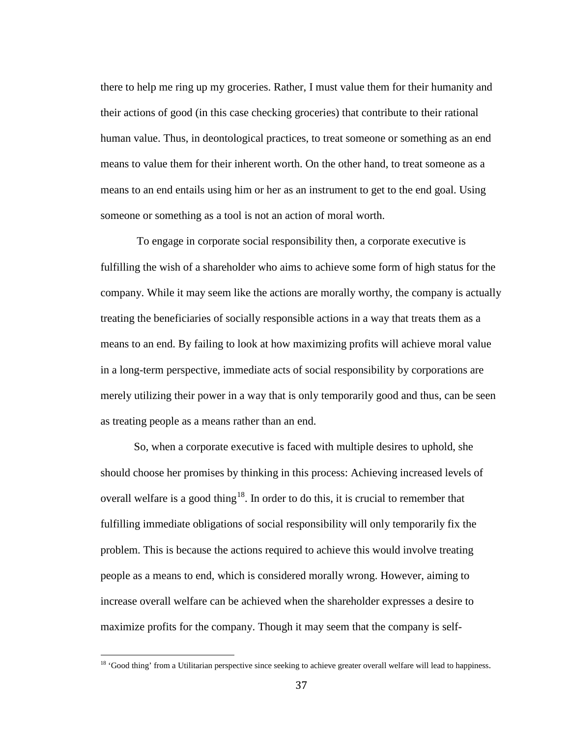there to help me ring up my groceries. Rather, I must value them for their humanity and their actions of good (in this case checking groceries) that contribute to their rational human value. Thus, in deontological practices, to treat someone or something as an end means to value them for their inherent worth. On the other hand, to treat someone as a means to an end entails using him or her as an instrument to get to the end goal. Using someone or something as a tool is not an action of moral worth.

To engage in corporate social responsibility then, a corporate executive is fulfilling the wish of a shareholder who aims to achieve some form of high status for the company. While it may seem like the actions are morally worthy, the company is actually treating the beneficiaries of socially responsible actions in a way that treats them as a means to an end. By failing to look at how maximizing profits will achieve moral value in a long-term perspective, immediate acts of social responsibility by corporations are merely utilizing their power in a way that is only temporarily good and thus, can be seen as treating people as a means rather than an end.

So, when a corporate executive is faced with multiple desires to uphold, she should choose her promises by thinking in this process: Achieving increased levels of overall welfare is a good thing<sup>[18](#page-40-0)</sup>. In order to do this, it is crucial to remember that fulfilling immediate obligations of social responsibility will only temporarily fix the problem. This is because the actions required to achieve this would involve treating people as a means to end, which is considered morally wrong. However, aiming to increase overall welfare can be achieved when the shareholder expresses a desire to maximize profits for the company. Though it may seem that the company is self-

<span id="page-40-0"></span><sup>&</sup>lt;sup>18</sup> 'Good thing' from a Utilitarian perspective since seeking to achieve greater overall welfare will lead to happiness.  $\overline{1}$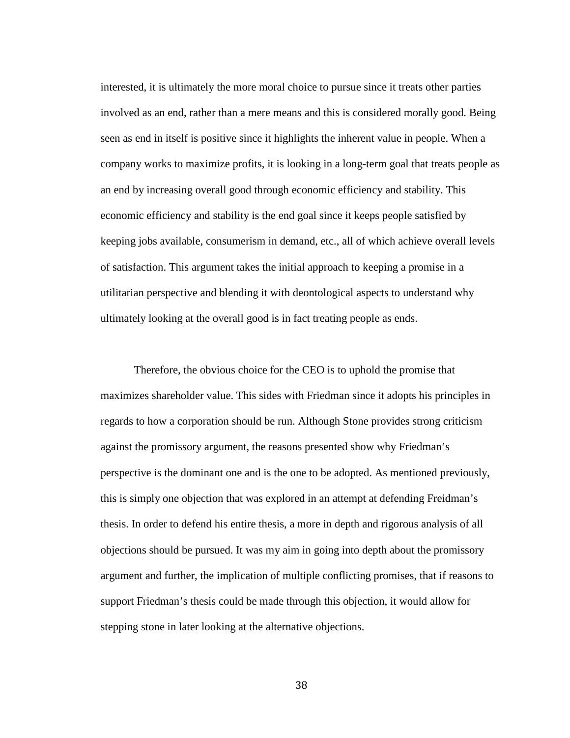interested, it is ultimately the more moral choice to pursue since it treats other parties involved as an end, rather than a mere means and this is considered morally good. Being seen as end in itself is positive since it highlights the inherent value in people. When a company works to maximize profits, it is looking in a long-term goal that treats people as an end by increasing overall good through economic efficiency and stability. This economic efficiency and stability is the end goal since it keeps people satisfied by keeping jobs available, consumerism in demand, etc., all of which achieve overall levels of satisfaction. This argument takes the initial approach to keeping a promise in a utilitarian perspective and blending it with deontological aspects to understand why ultimately looking at the overall good is in fact treating people as ends.

Therefore, the obvious choice for the CEO is to uphold the promise that maximizes shareholder value. This sides with Friedman since it adopts his principles in regards to how a corporation should be run. Although Stone provides strong criticism against the promissory argument, the reasons presented show why Friedman's perspective is the dominant one and is the one to be adopted. As mentioned previously, this is simply one objection that was explored in an attempt at defending Freidman's thesis. In order to defend his entire thesis, a more in depth and rigorous analysis of all objections should be pursued. It was my aim in going into depth about the promissory argument and further, the implication of multiple conflicting promises, that if reasons to support Friedman's thesis could be made through this objection, it would allow for stepping stone in later looking at the alternative objections.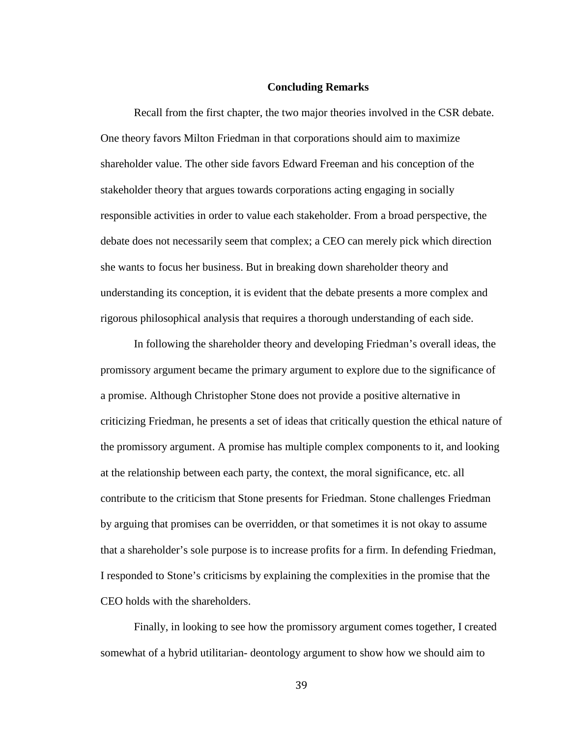### **Concluding Remarks**

Recall from the first chapter, the two major theories involved in the CSR debate. One theory favors Milton Friedman in that corporations should aim to maximize shareholder value. The other side favors Edward Freeman and his conception of the stakeholder theory that argues towards corporations acting engaging in socially responsible activities in order to value each stakeholder. From a broad perspective, the debate does not necessarily seem that complex; a CEO can merely pick which direction she wants to focus her business. But in breaking down shareholder theory and understanding its conception, it is evident that the debate presents a more complex and rigorous philosophical analysis that requires a thorough understanding of each side.

In following the shareholder theory and developing Friedman's overall ideas, the promissory argument became the primary argument to explore due to the significance of a promise. Although Christopher Stone does not provide a positive alternative in criticizing Friedman, he presents a set of ideas that critically question the ethical nature of the promissory argument. A promise has multiple complex components to it, and looking at the relationship between each party, the context, the moral significance, etc. all contribute to the criticism that Stone presents for Friedman. Stone challenges Friedman by arguing that promises can be overridden, or that sometimes it is not okay to assume that a shareholder's sole purpose is to increase profits for a firm. In defending Friedman, I responded to Stone's criticisms by explaining the complexities in the promise that the CEO holds with the shareholders.

Finally, in looking to see how the promissory argument comes together, I created somewhat of a hybrid utilitarian- deontology argument to show how we should aim to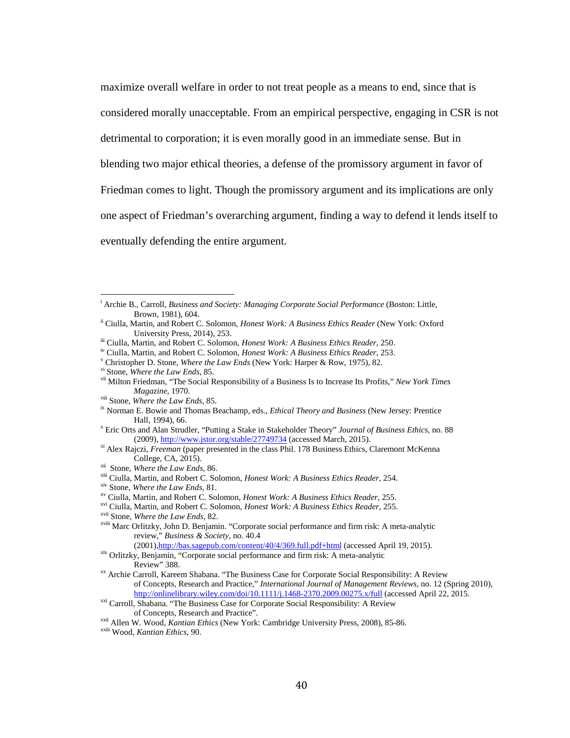maximize overall welfare in order to not treat people as a means to end, since that is considered morally unacceptable. From an empirical perspective, engaging in CSR is not detrimental to corporation; it is even morally good in an immediate sense. But in blending two major ethical theories, a defense of the promissory argument in favor of Friedman comes to light. Though the promissory argument and its implications are only one aspect of Friedman's overarching argument, finding a way to defend it lends itself to eventually defending the entire argument.

- <sup>xix</sup> Orlitzky, Benjamin, "Corporate social performance and firm risk: A meta-analytic Review" 388.
- <sup>xx</sup> Archie Carroll, Kareem Shabana. "The Business Case for Corporate Social Responsibility: A Review of Concepts, Research and Practice," *International Journal of Management Reviews*, no. 12 (Spring 2010), http://onlinelibrary.wiley.com/doi/10.1111/j.1468-2370.2009.00275.x/full (accessed April 22, 2015.
- <sup>xxi</sup> Carroll, Shabana. "The Business Case for Corporate Social Responsibility: A Review of Concepts. Research and Practice".

i Archie B., Carroll, *Business and Society: Managing Corporate Social Performance* (Boston: Little,

Brown, 1981), 604.<br>
<sup>ii</sup> Ciulla, Martin, and Robert C. Solomon, *Honest Work: A Business Ethics Reader* (New York: Oxford<br>
University Press, 2014), 253.

iii Ciulla, Martin, and Robert C. Solomon, *Honest Work: A Business Ethics Reader*, 250.<br><sup>iv</sup> Ciulla, Martin, and Robert C. Solomon, *Honest Work: A Business Ethics Reader*, 253.<br><sup>Y</sup> Christopher D. Stone, *Where the Law En Magazine*, 1970.<br><sup>viii</sup> Stone, *Where the Law Ends*, 85.<br><sup>ix</sup> Norman E. Bowie and Thomas Beachamp, eds., *Ethical Theory and Business* (New Jersey: Prentice

Hall, 1994), 66. <sup>x</sup> Eric Orts and Alan Strudler, "Putting a Stake in Stakeholder Theory" *Journal of Business Ethics*, no. 88

<sup>(2009)</sup>[, http://www.jstor.org/stable/27749734](http://www.jstor.org/stable/27749734) (accessed March, 2015). xi Alex Rajczi, *Freeman* (paper presented in the class Phil. 178 Business Ethics, Claremont McKenna

<sup>&</sup>lt;sup>xii</sup> Stone, *Where the Law Ends*, 86.<br>
<sup>xii</sup> Ciulla, Martin, and Robert C. Solomon, *Honest Work: A Business Ethics Reader*, 254.<br>
<sup>xiv</sup> Stone, *Where the Law Ends*, 81.<br>
<sup>xv</sup> Ciulla, Martin, and Robert C. Solomon, *Hones* review," *Business & Society*, no. 40.4

<sup>&</sup>lt;sup>xxii</sup> Allen W. Wood, *Kantian Ethics* (New York: Cambridge University Press, 2008), 85-86. xxiii Wood, *Kantian Ethics*, 90.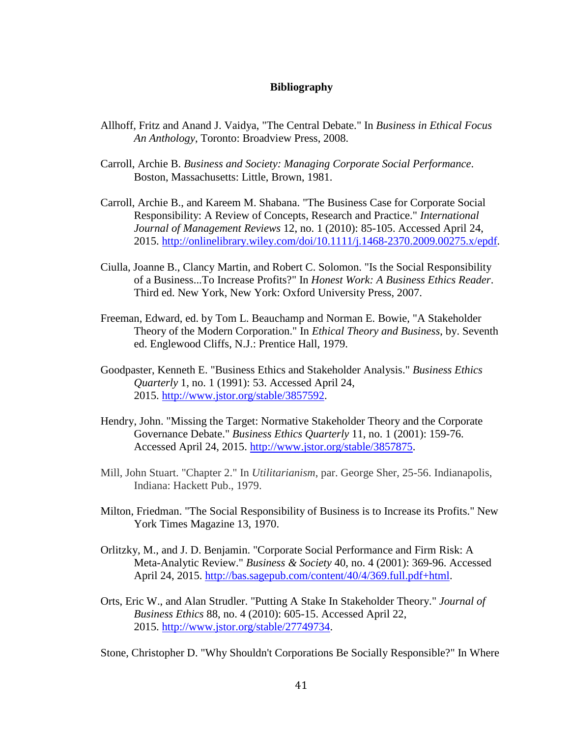# **Bibliography**

- Allhoff, Fritz and Anand J. Vaidya, "The Central Debate." In *Business in Ethical Focus An Anthology*, Toronto: Broadview Press, 2008.
- Carroll, Archie B. *Business and Society: Managing Corporate Social Performance*. Boston, Massachusetts: Little, Brown, 1981.
- Carroll, Archie B., and Kareem M. Shabana. "The Business Case for Corporate Social Responsibility: A Review of Concepts, Research and Practice." *International Journal of Management Reviews* 12, no. 1 (2010): 85-105. Accessed April 24, 2015. [http://onlinelibrary.wiley.com/doi/10.1111/j.1468-2370.2009.00275.x/epdf.](http://onlinelibrary.wiley.com/doi/10.1111/j.1468-2370.2009.00275.x/epdf)
- Ciulla, Joanne B., Clancy Martin, and Robert C. Solomon. "Is the Social Responsibility of a Business...To Increase Profits?" In *Honest Work: A Business Ethics Reader*. Third ed. New York, New York: Oxford University Press, 2007.
- Freeman, Edward, ed. by Tom L. Beauchamp and Norman E. Bowie, "A Stakeholder Theory of the Modern Corporation." In *Ethical Theory and Business*, by. Seventh ed. Englewood Cliffs, N.J.: Prentice Hall, 1979.
- Goodpaster, Kenneth E. "Business Ethics and Stakeholder Analysis." *Business Ethics Quarterly* 1, no. 1 (1991): 53. Accessed April 24, 2015. [http://www.jstor.org/stable/3857592.](http://www.jstor.org/stable/3857592)
- Hendry, John. "Missing the Target: Normative Stakeholder Theory and the Corporate Governance Debate." *Business Ethics Quarterly* 11, no. 1 (2001): 159-76. Accessed April 24, 2015. [http://www.jstor.org/stable/3857875.](http://www.jstor.org/stable/3857875)
- Mill, John Stuart. "Chapter 2." In *Utilitarianism*, par. George Sher, 25-56. Indianapolis, Indiana: Hackett Pub., 1979.
- Milton, Friedman. "The Social Responsibility of Business is to Increase its Profits." New York Times Magazine 13, 1970.
- Orlitzky, M., and J. D. Benjamin. "Corporate Social Performance and Firm Risk: A Meta-Analytic Review." *Business & Society* 40, no. 4 (2001): 369-96. Accessed April 24, 2015. [http://bas.sagepub.com/content/40/4/369.full.pdf+html.](http://bas.sagepub.com/content/40/4/369.full.pdf+html)
- Orts, Eric W., and Alan Strudler. "Putting A Stake In Stakeholder Theory." *Journal of Business Ethics* 88, no. 4 (2010): 605-15. Accessed April 22, 2015. [http://www.jstor.org/stable/27749734.](http://www.jstor.org/stable/27749734)

Stone, Christopher D. "Why Shouldn't Corporations Be Socially Responsible?" In Where